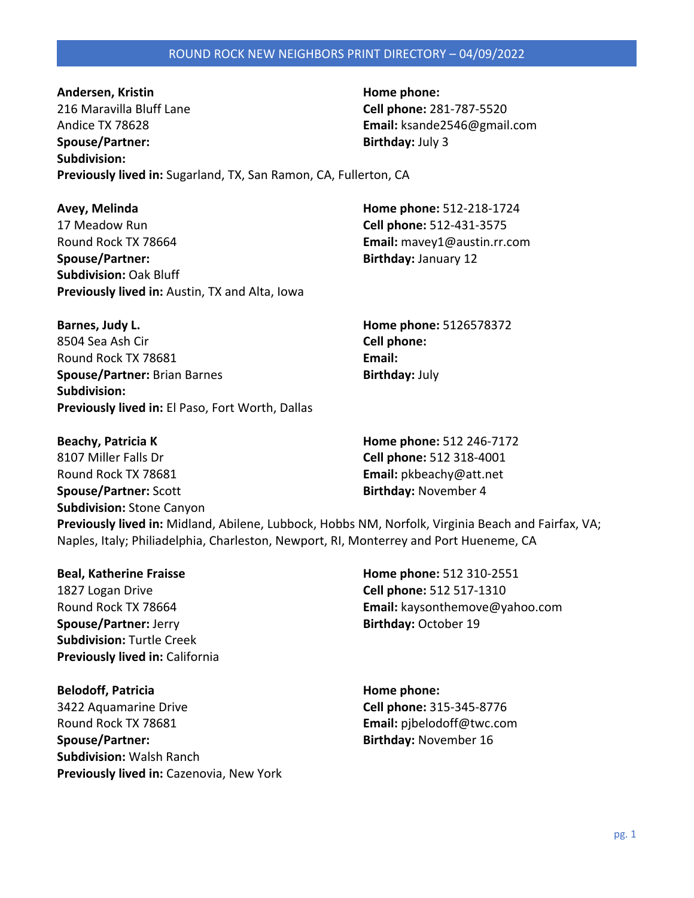Andersen, Kristin **Manual Andersen, Kristin Home phone: Home phone:** 216 Maravilla Bluff Lane **Cell phone:** 281-787-5520 Andice TX 78628 **Email:** ksande2546@gmail.com **Spouse/Partner:** Birthday: July 3 **Subdivision: Previously lived in:** Sugarland, TX, San Ramon, CA, Fullerton, CA

**Avey, Melinda Home phone:** 512-218-1724 17 Meadow Run **Cell phone:** 512-431-3575 Round Rock TX 78664 **Email:** mavey1@austin.rr.com **Spouse/Partner: Birthday:** January 12 **Subdivision:** Oak Bluff **Previously lived in:** Austin, TX and Alta, Iowa

| Barnes, Judy L.                                  | Home phone: 5126578372 |
|--------------------------------------------------|------------------------|
| 8504 Sea Ash Cir                                 | Cell phone:            |
| Round Rock TX 78681                              | Email:                 |
| <b>Spouse/Partner: Brian Barnes</b>              | <b>Birthday: July</b>  |
| Subdivision:                                     |                        |
| Previously lived in: El Paso, Fort Worth, Dallas |                        |

| <b>Beachy, Patricia K</b>                                                                          | Home phone: 512 246-7172 |  |
|----------------------------------------------------------------------------------------------------|--------------------------|--|
| 8107 Miller Falls Dr                                                                               | Cell phone: 512 318-4001 |  |
| Round Rock TX 78681                                                                                | Email: pkbeachy@att.net  |  |
| <b>Spouse/Partner: Scott</b>                                                                       | Birthday: November 4     |  |
| <b>Subdivision: Stone Canyon</b>                                                                   |                          |  |
| Previously lived in: Midland, Abilene, Lubbock, Hobbs NM, Norfolk, Virginia Beach and Fairfax, VA; |                          |  |
| Naples, Italy; Philiadelphia, Charleston, Newport, RI, Monterrey and Port Hueneme, CA              |                          |  |

1827 Logan Drive **Cell phone:** 512 517-1310 **Spouse/Partner:** Jerry **Birthday:** October 19 **Subdivision:** Turtle Creek **Previously lived in:** California

**Belodoff, Patricia Home phone: Home phone:** 3422 Aquamarine Drive **Cell phone:** 315-345-8776 Round Rock TX 78681 **Email:** pjbelodoff@twc.com **Spouse/Partner: Birthday:** November 16 **Subdivision:** Walsh Ranch **Previously lived in:** Cazenovia, New York

**Beal, Katherine Fraisse Home phone:** 512 310-2551 Round Rock TX 78664 **Email:** kaysonthemove@yahoo.com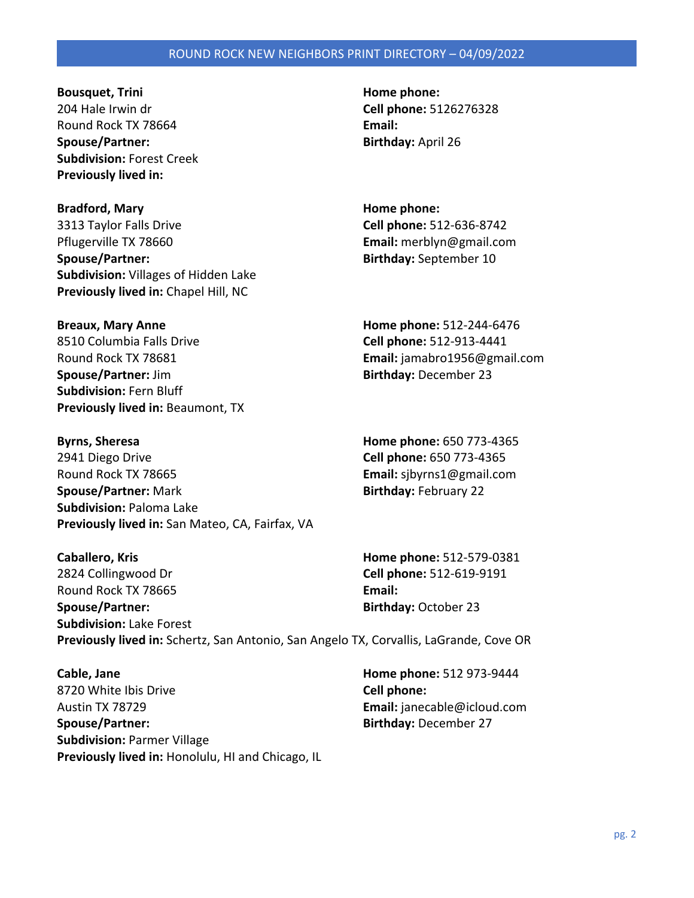**Bousquet, Trini Home phone: Home phone: Home phone: Home phone: Home phone: Home phone: Home phone: Home phone: Home phone: Home phone: Home phone: Home phone: Home phone: Home phone: Home ph** 204 Hale Irwin dr **Cell phone:** 5126276328 Round Rock TX 78664 **Email: Spouse/Partner:** Birthday: April 26 **Subdivision:** Forest Creek **Previously lived in:** 

**Bradford, Mary Home phone: Home phone: Home phone: Home phone: Home phone: Home phone: Home phone: Home phone: Home phone: Home phone: Home phone: Home phone: Home phone: Home phone: Home pho** 3313 Taylor Falls Drive **Cell phone:** 512-636-8742 Pflugerville TX 78660 **Email:** merblyn@gmail.com **Spouse/Partner:** Spouse/Partner: September 10 **Subdivision:** Villages of Hidden Lake **Previously lived in:** Chapel Hill, NC

8510 Columbia Falls Drive **Cell phone:** 512-913-4441 Round Rock TX 78681 **Email:** jamabro1956@gmail.com **Spouse/Partner:** Jim **Birthday:** December 23 **Subdivision:** Fern Bluff **Previously lived in:** Beaumont, TX

**Byrns, Sheresa Home phone:** 650 773-4365 2941 Diego Drive **Cell phone:** 650 773-4365 Round Rock TX 78665 **Email:** sjbyrns1@gmail.com **Spouse/Partner:** Mark **Birthday: February 22 Subdivision:** Paloma Lake **Previously lived in:** San Mateo, CA, Fairfax, VA

**Caballero, Kris Home phone:** 512-579-0381 2824 Collingwood Dr **Cell phone:** 512-619-9191 Round Rock TX 78665 **Email: Spouse/Partner: Birthday:** October 23 **Subdivision:** Lake Forest **Previously lived in:** Schertz, San Antonio, San Angelo TX, Corvallis, LaGrande, Cove OR

**Cable, Jane Home phone:** 512 973-9444 8720 White Ibis Drive **Cell phone:**  Austin TX 78729 **Email:** janecable@icloud.com **Spouse/Partner: Birthday:** December 27 **Subdivision:** Parmer Village **Previously lived in:** Honolulu, HI and Chicago, IL

**Breaux, Mary Anne Home phone:** 512-244-6476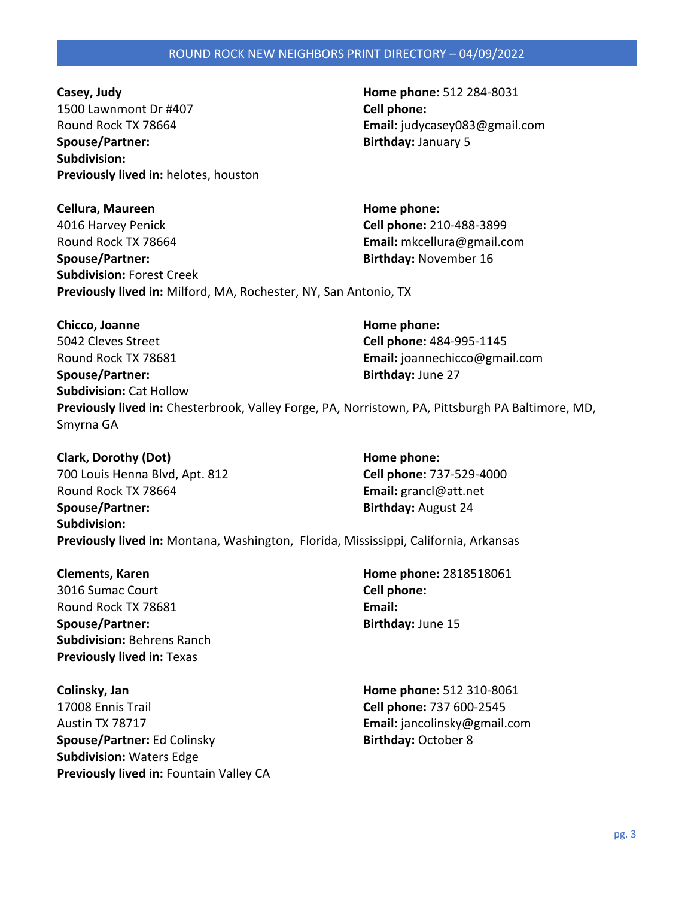pg. 3

**Casey, Judy Home phone:** 512 284-8031 1500 Lawnmont Dr #407 **Cell phone:**  Round Rock TX 78664 **Email:** judycasey083@gmail.com **Spouse/Partner: Birthday:** January 5 **Subdivision: Previously lived in:** helotes, houston

**Cellura, Maureen Home phone: Home phone:** 4016 Harvey Penick **Cell phone:** 210-488-3899 Round Rock TX 78664 **Email:** mkcellura@gmail.com **Spouse/Partner: Birthday:** November 16 **Subdivision:** Forest Creek **Previously lived in:** Milford, MA, Rochester, NY, San Antonio, TX

**Chicco, Joanne Home phone: Home phone: Home phone: Home phone: Home phone: Home phone: Home phone: Home phone: Home phone: Home phone: Home phone: Home phone: Home phone: Home phone: Home pho** 5042 Cleves Street **Cell phone:** 484-995-1145 Round Rock TX 78681 **Email:** joannechicco@gmail.com **Spouse/Partner: Birthday:** June 27 **Subdivision:** Cat Hollow **Previously lived in:** Chesterbrook, Valley Forge, PA, Norristown, PA, Pittsburgh PA Baltimore, MD, Smyrna GA

**Clark, Dorothy (Dot) Home phone: Home phone:** 700 Louis Henna Blvd, Apt. 812 **Cell phone:** 737-529-4000 Round Rock TX 78664 **Email:** grancl@att.net

**Spouse/Partner:** Birthday: August 24 **Subdivision: Previously lived in:** Montana, Washington, Florida, Mississippi, California, Arkansas

3016 Sumac Court **Cell phone:**  Round Rock TX 78681 **Email: Spouse/Partner:** Birthday: June 15 **Subdivision:** Behrens Ranch **Previously lived in:** Texas

**Colinsky, Jan Home phone:** 512 310-8061 17008 Ennis Trail **Cell phone:** 737 600-2545 Austin TX 78717 **Email:** jancolinsky@gmail.com **Spouse/Partner:** Ed Colinsky **Birthday:** October 8 **Subdivision:** Waters Edge **Previously lived in:** Fountain Valley CA

**Clements, Karen Home phone:** 2818518061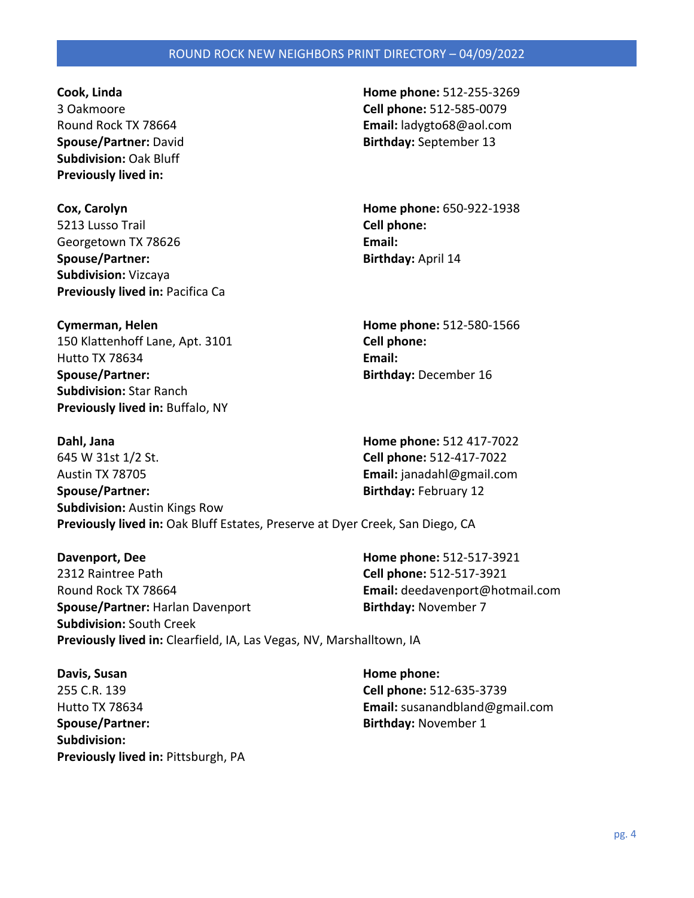**Subdivision:** Oak Bluff **Previously lived in:** 

**Cox, Carolyn Home phone:** 650-922-1938 5213 Lusso Trail **Cell phone:**  Georgetown TX 78626 **Email: Email: Spouse/Partner:** Birthday: April 14 **Subdivision:** Vizcaya **Previously lived in: Pacifica Ca** 

**Cymerman, Helen Home phone:** 512-580-1566 150 Klattenhoff Lane, Apt. 3101 **Cell phone:**  Hutto TX 78634 **Email: Spouse/Partner: Birthday:** December 16 **Subdivision:** Star Ranch **Previously lived in:** Buffalo, NY

**Cook, Linda Home phone:** 512-255-3269 3 Oakmoore **Cell phone:** 512-585-0079 Round Rock TX 78664 **Email:** ladygto68@aol.com **Spouse/Partner:** David **Birthday:** September 13

**Dahl, Jana Home phone:** 512 417-7022 645 W 31st 1/2 St. **Cell phone:** 512-417-7022 Austin TX 78705 **Email:** janadahl@gmail.com **Spouse/Partner: Birthday:** February 12 **Subdivision:** Austin Kings Row **Previously lived in:** Oak Bluff Estates, Preserve at Dyer Creek, San Diego, CA

**Davenport, Dee Home phone:** 512-517-3921 2312 Raintree Path **Cell phone:** 512-517-3921 Round Rock TX 78664 **Email:** deedavenport@hotmail.com **Spouse/Partner:** Harlan Davenport **Birthday:** November 7 **Subdivision:** South Creek **Previously lived in:** Clearfield, IA, Las Vegas, NV, Marshalltown, IA

**Davis, Susan Home phone: Home phone: Home phone: Home phone: Home phone: Home phone: Home phone: Home phone: Home phone: Home phone: Home phone: Home phone: Home phone: Home phone: Home phone** 255 C.R. 139 **Cell phone:** 512-635-3739 **Spouse/Partner:** Spouse/Partner: **Birthday:** November 1 **Subdivision: Previously lived in: Pittsburgh, PA** 

Hutto TX 78634 **Email:** susanandbland@gmail.com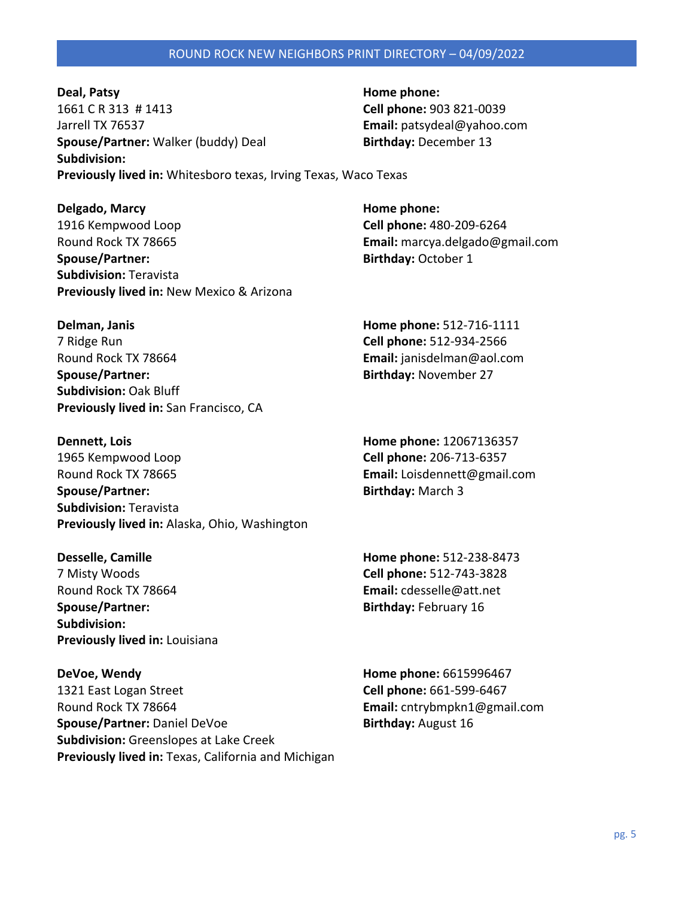**Deal, Patsy Home phone: Home phone: Home phone: Home phone: Home phone: Home phone: Home phone: Home phone: Home phone: Home phone: Home phone: Home phone: Home phone: Home phone: Home phone:** 1661 C R 313 # 1413 **Cell phone:** 903 821-0039 Jarrell TX 76537 **Email:** patsydeal@yahoo.com **Spouse/Partner:** Walker (buddy) Deal **Birthday:** December 13 **Subdivision: Previously lived in:** Whitesboro texas, Irving Texas, Waco Texas

**Delgado, Marcy Home phone: Home phone: Home phone: Home phone: Home phone: Home phone: Home phone: Home phone: Home phone: Home phone: Home phone: Home phone: Home phone: Home phone: Home pho** 1916 Kempwood Loop **Cell phone:** 480-209-6264 Round Rock TX 78665 **Email:** marcya.delgado@gmail.com **Spouse/Partner:** Birthday: October 1 **Subdivision:** Teravista **Previously lived in:** New Mexico & Arizona

**Delman, Janis Home phone:** 512-716-1111 7 Ridge Run **Cell phone:** 512-934-2566 Round Rock TX 78664 **Email:** janisdelman@aol.com **Spouse/Partner:** and **Birthday:** November 27 **Subdivision:** Oak Bluff **Previously lived in:** San Francisco, CA

**Dennett, Lois Home phone:** 12067136357 1965 Kempwood Loop **Cell phone:** 206-713-6357 Round Rock TX 78665 **Email:** Loisdennett@gmail.com **Spouse/Partner: Birthday:** March 3 **Subdivision:** Teravista **Previously lived in:** Alaska, Ohio, Washington

**Desselle, Camille Home phone:** 512-238-8473 7 Misty Woods **Cell phone:** 512-743-3828 Round Rock TX 78664 **Email:** cdesselle@att.net **Spouse/Partner:** Spouse/Partner: **Birthday:** February 16 **Subdivision: Previously lived in:** Louisiana

**DeVoe, Wendy Home phone:** 6615996467 1321 East Logan Street **Cell phone:** 661-599-6467 Round Rock TX 78664 **Email:** cntrybmpkn1@gmail.com **Spouse/Partner:** Daniel DeVoe **Birthday:** August 16 **Subdivision:** Greenslopes at Lake Creek **Previously lived in:** Texas, California and Michigan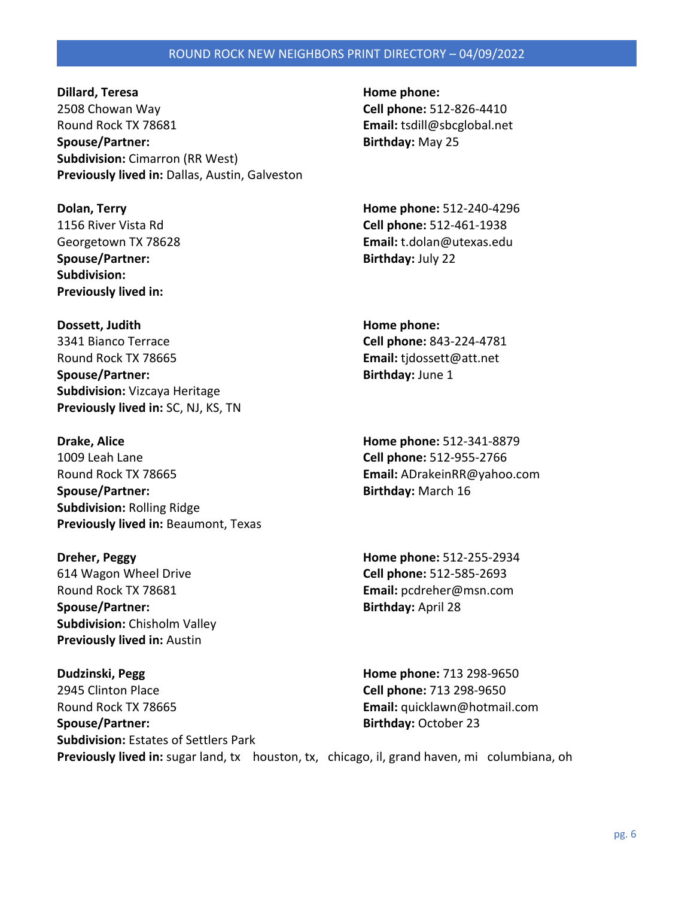**Dillard, Teresa Home phone: Home phone: Home phone: Home phone: Home phone: Home phone: Home phone: Home phone: Home phone: Home phone: Home phone: Home phone: Home phone: Home phone: Home ph** 2508 Chowan Way **Cell phone:** 512-826-4410 Round Rock TX 78681 **Email:** tsdill@sbcglobal.net **Spouse/Partner: Birthday:** May 25 **Subdivision:** Cimarron (RR West) **Previously lived in:** Dallas, Austin, Galveston

**Spouse/Partner:** Birthday: July 22 **Subdivision: Previously lived in:** 

**Dossett, Judith Home phone: Home phone:** 3341 Bianco Terrace **Cell phone:** 843-224-4781 Round Rock TX 78665 **Email:** tjdossett@att.net **Spouse/Partner:** Birthday: June 1 **Subdivision:** Vizcaya Heritage **Previously lived in:** SC, NJ, KS, TN

**Drake, Alice Home phone:** 512-341-8879 1009 Leah Lane **Cell phone:** 512-955-2766 Round Rock TX 78665 **Email:** ADrakeinRR@yahoo.com **Spouse/Partner:** Birthday: March 16 **Subdivision:** Rolling Ridge **Previously lived in:** Beaumont, Texas

614 Wagon Wheel Drive **Cell phone:** 512-585-2693 Round Rock TX 78681 **Email:** pcdreher@msn.com **Spouse/Partner:** Birthday: April 28 **Subdivision:** Chisholm Valley **Previously lived in:** Austin

**Dudzinski, Pegg Home phone:** 713 298-9650 2945 Clinton Place **Cell phone:** 713 298-9650 Round Rock TX 78665 **Email:** quicklawn@hotmail.com **Spouse/Partner: Birthday:** October 23 **Subdivision:** Estates of Settlers Park **Previously lived in:** sugar land, tx houston, tx, chicago, il, grand haven, mi columbiana, oh

**Dolan, Terry Home phone:** 512-240-4296 1156 River Vista Rd **Cell phone:** 512-461-1938 Georgetown TX 78628 **Email:** t.dolan@utexas.edu

**Dreher, Peggy Home phone:** 512-255-2934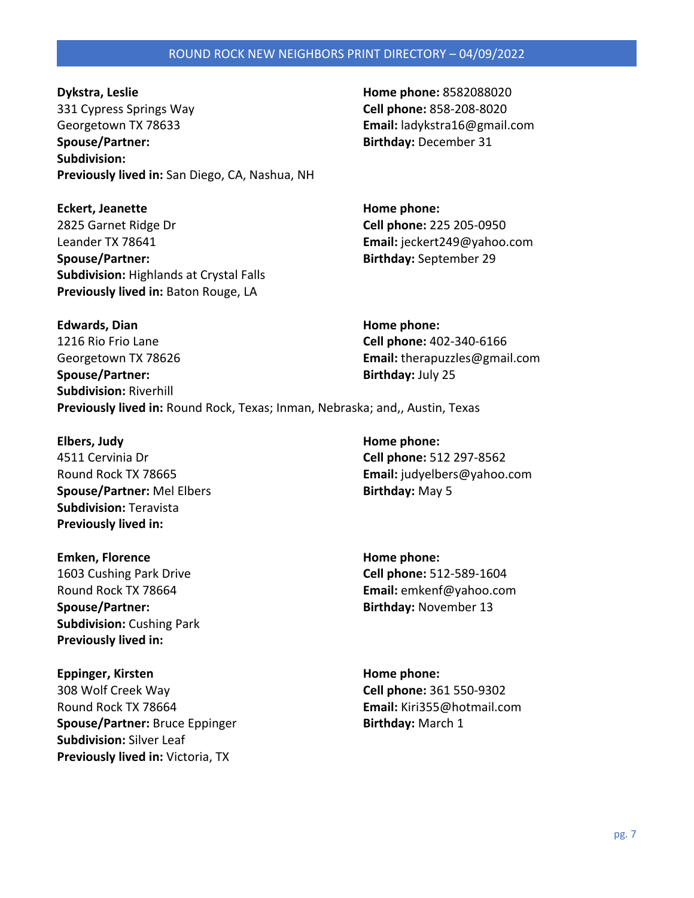**Dykstra, Leslie Home phone:** 8582088020 331 Cypress Springs Way **Cell phone:** 858-208-8020 Georgetown TX 78633 **Email:** ladykstra16@gmail.com **Spouse/Partner: Birthday:** December 31 **Subdivision: Previously lived in:** San Diego, CA, Nashua, NH

**Eckert, Jeanette Home phone: Home phone:** 2825 Garnet Ridge Dr **Cell phone:** 225 205-0950 Leander TX 78641 **Email:** jeckert249@yahoo.com **Spouse/Partner: Birthday:** September 29 **Subdivision:** Highlands at Crystal Falls **Previously lived in:** Baton Rouge, LA

**Edwards, Dian Home phone: Home phone: Home phone: Home phone: Home phone: Home phone: Home phone: Home phone: Home phone: Home phone: Home phone: Home phone: Home phone: Home phone: Home phon** 1216 Rio Frio Lane **Cell phone:** 402-340-6166 Georgetown TX 78626 **Email:** therapuzzles@gmail.com **Spouse/Partner:** Birthday: July 25 **Subdivision:** Riverhill **Previously lived in:** Round Rock, Texas; Inman, Nebraska; and,, Austin, Texas

**Elbers, Judy Home phone: Home phone: Home phone: Home phone: Home phone: Home phone: Home phone: Home phone: Home phone: Home phone: Home phone: Home phone: Home phone: Home phone: Home phone** 4511 Cervinia Dr **Cell phone:** 512 297-8562 **Spouse/Partner:** Mel Elbers **Birthday:** May 5 **Subdivision:** Teravista **Previously lived in:** 

**Emken, Florence Home phone: Home phone: Home phone: Home phone: Home phone: Home phone: Home phone: Home phone: Home phone: Home phone: Home phone: Home phone: Home phone: Home phone: Home ph Spouse/Partner:** and **Birthday:** November 13 **Subdivision:** Cushing Park **Previously lived in:** 

**Eppinger, Kirsten Home phone: Home phone: Home phone: Home phone: Home phone: Home phone: Home phone: Home phone: Home phone: Home phone: Home phone: Home phone: Home phone: Home phone: Home** 308 Wolf Creek Way **Cell phone:** 361 550-9302 Round Rock TX 78664 **Email:** Kiri355@hotmail.com **Spouse/Partner:** Bruce Eppinger **Birthday:** March 1 **Subdivision:** Silver Leaf **Previously lived in:** Victoria, TX

Round Rock TX 78665 **Email:** judyelbers@yahoo.com

1603 Cushing Park Drive **Cell phone:** 512-589-1604 Round Rock TX 78664 **Email:** emkenf@yahoo.com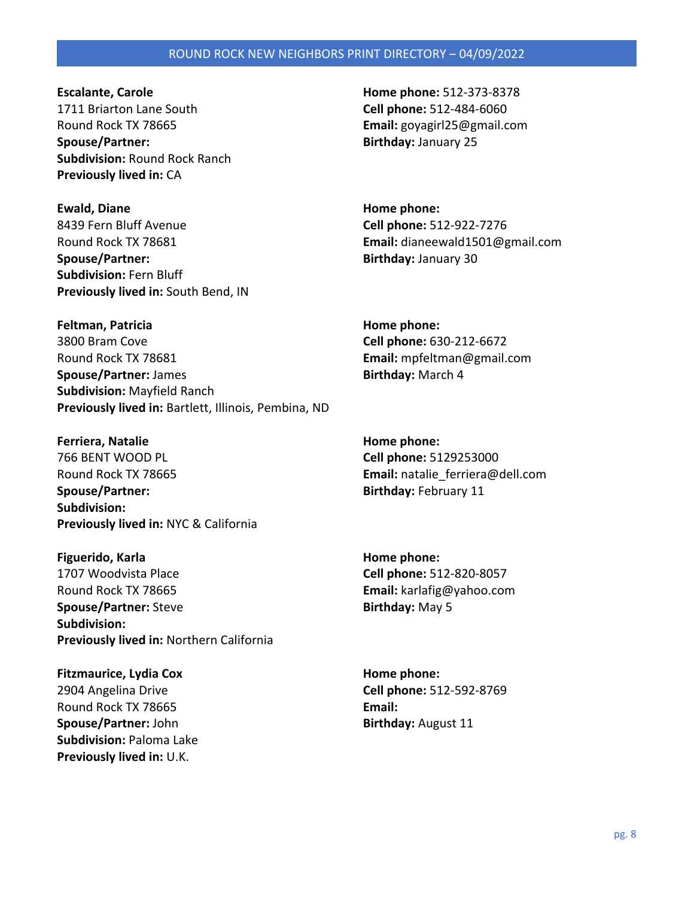**Escalante, Carole Home phone:** 512-373-8378 1711 Briarton Lane South **Cell phone:** 512-484-6060 Round Rock TX 78665 **Email:** goyagirl25@gmail.com **Spouse/Partner: Birthday:** January 25 **Subdivision:** Round Rock Ranch **Previously lived in:** CA

**Ewald, Diane Home phone: Home phone: Home phone: Home phone: Home phone: Home phone: Home phone: Home phone: Home phone: Home phone: Home phone: Home phone: Home phone: Home phone: Home phone** 8439 Fern Bluff Avenue **Cell phone:** 512-922-7276 **Spouse/Partner: Birthday:** January 30 **Subdivision:** Fern Bluff **Previously lived in:** South Bend, IN

**Feltman, Patricia Home phone: Home phone: Home phone: Home phone: Home phone: Home phone: Home phone: Home phone: Home phone: Home phone: Home phone: Home phone: Home phone: Home phone: Home** 3800 Bram Cove **Cell phone:** 630-212-6672 Round Rock TX 78681 **Email:** mpfeltman@gmail.com **Spouse/Partner:** James **Birthday:** March 4 **Subdivision:** Mayfield Ranch **Previously lived in:** Bartlett, Illinois, Pembina, ND

**Ferriera, Natalie <b>Home phone: Home phone: Home phone: Home phone: Home phone: Home phone: Home phone: Home phone: Home phone: Home phone: Home phone: Home phone: Home phone: Home phone: Home p** 766 BENT WOOD PL **Cell phone:** 5129253000 Round Rock TX 78665 **Email:** natalie\_ferriera@dell.com **Spouse/Partner:** Spouse/Partner: **Birthday:** February 11 **Subdivision: Previously lived in:** NYC & California

**Figuerido, Karla Home phone: Home phone: Home phone: Home phone: Home phone: Home phone: Home phone: Home phone: Home phone: Home phone: Home phone: Home phone: Home phone: Home phone: Home p** 1707 Woodvista Place **Cell phone:** 512-820-8057 Round Rock TX 78665 **Email:** karlafig@yahoo.com **Spouse/Partner:** Steve **Birthday:** May 5 **Subdivision: Previously lived in:** Northern California

**Fitzmaurice, Lydia Cox Home phone: Home phone:** 2904 Angelina Drive **Cell phone:** 512-592-8769 Round Rock TX 78665 **Email: Spouse/Partner:** John **Birthday:** August 11 **Subdivision:** Paloma Lake **Previously lived in:** U.K.

Round Rock TX 78681 **Email:** dianeewald1501@gmail.com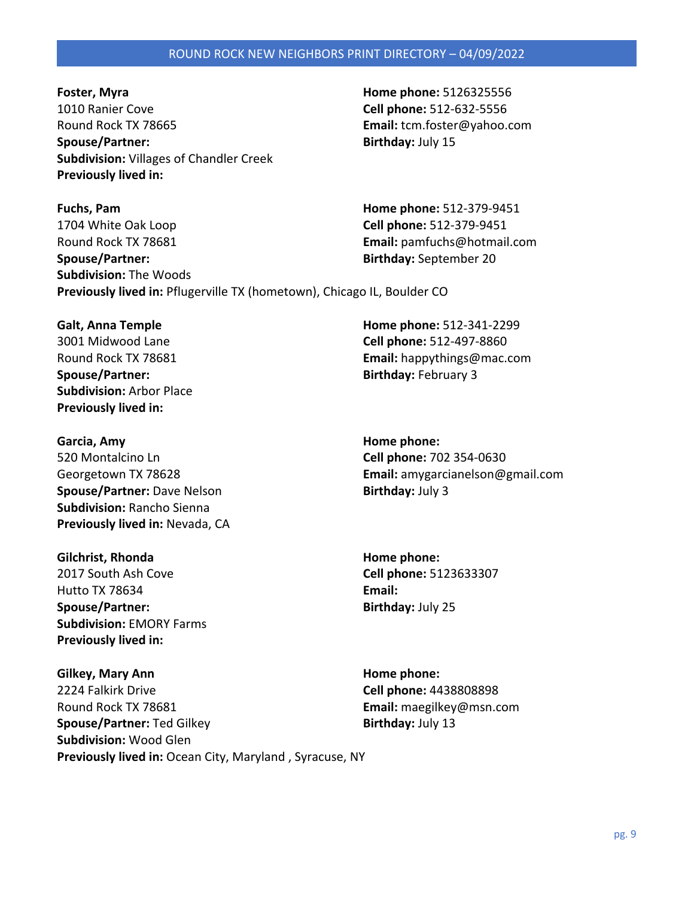**Foster, Myra Home phone:** 5126325556 1010 Ranier Cove **Cell phone:** 512-632-5556 Round Rock TX 78665 **Email:** tcm.foster@yahoo.com **Spouse/Partner:** Birthday: July 15 **Subdivision:** Villages of Chandler Creek **Previously lived in:** 

**Fuchs, Pam Home phone:** 512-379-9451 1704 White Oak Loop **Cell phone:** 512-379-9451 Round Rock TX 78681 **Email:** pamfuchs@hotmail.com **Spouse/Partner: Birthday:** September 20 **Subdivision:** The Woods **Previously lived in:** Pflugerville TX (hometown), Chicago IL, Boulder CO

**Spouse/Partner:** Spouse/Partner: Spouse/Partner: Birthday: February 3 **Subdivision:** Arbor Place **Previously lived in:** 

**Garcia, Amy Garcia, Amy Home phone: Home phone: Home phone: Home phone: Home phone: Home phone: Home phone: Home phone: Home phone: Home phone: Home phone: Home phone: Home phone: Home phone:** 520 Montalcino Ln **Cell phone:** 702 354-0630 **Spouse/Partner:** Dave Nelson **Birthday:** July 3 **Subdivision:** Rancho Sienna **Previously lived in:** Nevada, CA

**Gilchrist, Rhonda Home phone: Home phone: Home phone: Home phone: Home phone: Home phone: Home phone: Home phone: Home phone: Home phone: Home phone: Home phone: Home phone: Home phone: Home** 2017 South Ash Cove **Cell phone:** 5123633307 Hutto TX 78634 **Email: Spouse/Partner: Birthday:** July 25 **Subdivision:** EMORY Farms **Previously lived in:** 

**Gilkey, Mary Ann Home phone: Home phone: Home phone: Home phone: Home phone: Home phone: Home phone: Home phone: Home phone: Home phone: Home phone: Home phone: Home phone: Home phone: Home p** 2224 Falkirk Drive **Cell phone:** 4438808898 Round Rock TX 78681 **Email:** maegilkey@msn.com **Spouse/Partner:** Ted Gilkey **Birthday:** July 13 **Subdivision:** Wood Glen **Previously lived in:** Ocean City, Maryland , Syracuse, NY

**Galt, Anna Temple Home phone:** 512-341-2299 3001 Midwood Lane **Cell phone:** 512-497-8860 Round Rock TX 78681 **Email:** happythings@mac.com

Georgetown TX 78628 **Email:** amygarcianelson@gmail.com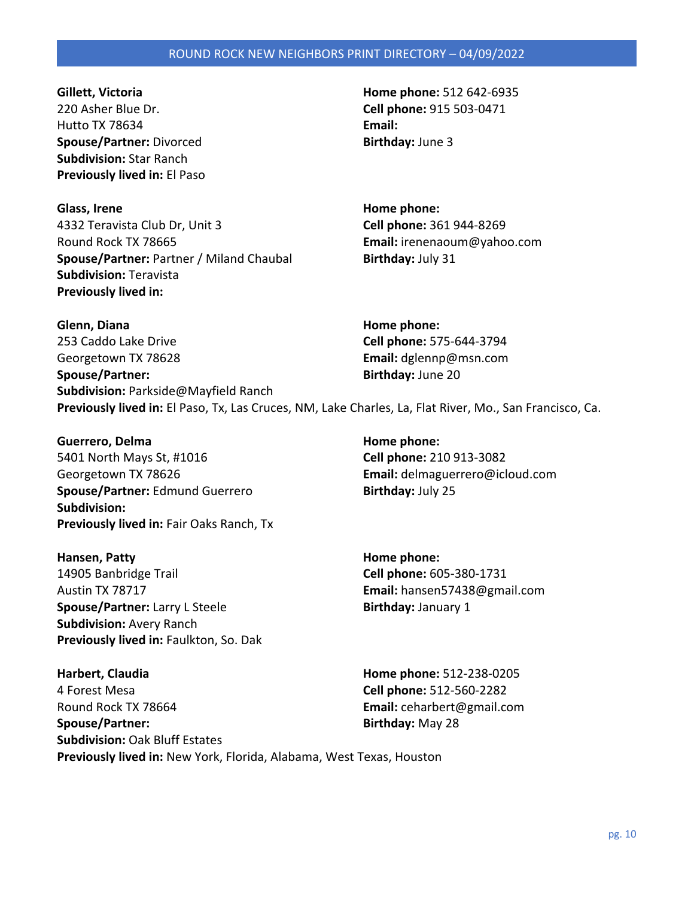220 Asher Blue Dr. **Cell phone:** 915 503-0471 Hutto TX 78634 **Email: Spouse/Partner:** Divorced **Birthday:** June 3 **Subdivision:** Star Ranch **Previously lived in:** El Paso

**Glass, Irene Home phone:**  4332 Teravista Club Dr, Unit 3 **Cell phone:** 361 944-8269 Round Rock TX 78665 **Email:** irenenaoum@yahoo.com **Spouse/Partner: Partner / Miland Chaubal <b>Birthday:** July 31 **Subdivision:** Teravista **Previously lived in:** 

**Gillett, Victoria Home phone:** 512 642-6935

**Glenn, Diana Home phone: Home phone: Home phone: Home phone: Home phone: Home phone: Home phone: Home phone: Home phone: Home phone: Home phone: Home phone: Home phone: Home phone: Home phone** 

253 Caddo Lake Drive **Cell phone:** 575-644-3794 Georgetown TX 78628 **Email:** dglennp@msn.com **Spouse/Partner: Birthday:** June 20 **Subdivision:** Parkside@Mayfield Ranch **Previously lived in:** El Paso, Tx, Las Cruces, NM, Lake Charles, La, Flat River, Mo., San Francisco, Ca.

**Guerrero, Delma Home phone: Home phone: Home phone: Home phone: Home phone: Home phone: Home phone: Home phone: Home phone: Home phone: Home phone: Home phone: Home phone: Home phone: Home ph** 5401 North Mays St, #1016 **Cell phone:** 210 913-3082 Georgetown TX 78626 **Email:** delmaguerrero@icloud.com **Spouse/Partner:** Edmund Guerrero **Birthday:** July 25 **Subdivision: Previously lived in:** Fair Oaks Ranch, Tx

**Hansen, Patty Home phone:**  14905 Banbridge Trail **Cell phone:** 605-380-1731 Austin TX 78717 **Email:** hansen57438@gmail.com **Spouse/Partner:** Larry L Steele **Birthday:** January 1 **Subdivision:** Avery Ranch **Previously lived in:** Faulkton, So. Dak

**Harbert, Claudia Home phone:** 512-238-0205 4 Forest Mesa **Cell phone:** 512-560-2282 Round Rock TX 78664 **Email:** ceharbert@gmail.com **Spouse/Partner: Birthday:** May 28 **Subdivision:** Oak Bluff Estates **Previously lived in:** New York, Florida, Alabama, West Texas, Houston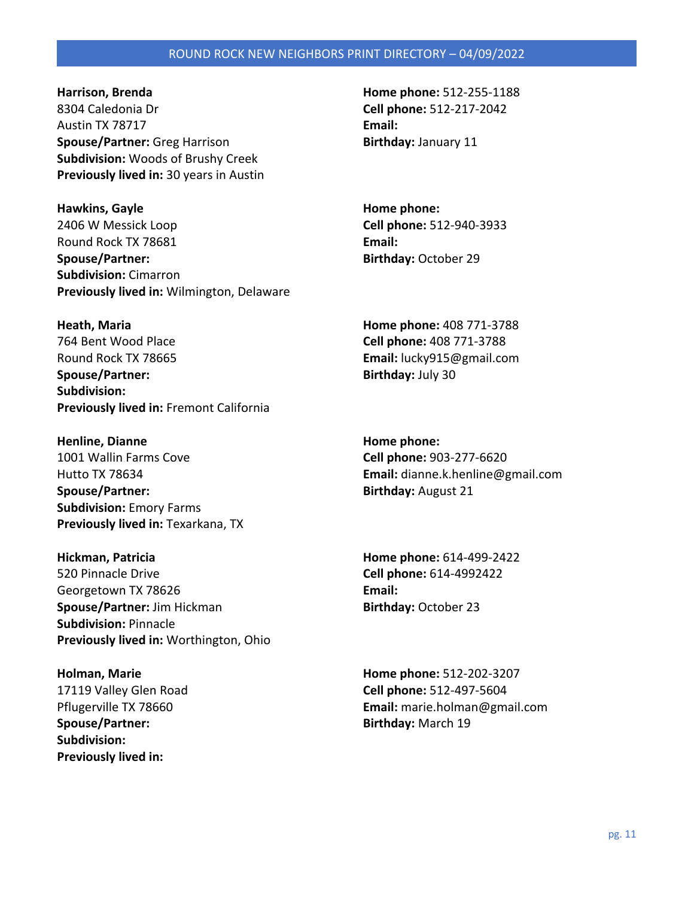8304 Caledonia Dr **Cell phone:** 512-217-2042 Austin TX 78717 **Email: Spouse/Partner:** Greg Harrison **Birthday:** January 11 **Subdivision:** Woods of Brushy Creek **Previously lived in:** 30 years in Austin

**Hawkins, Gayle Home phone:**  2406 W Messick Loop **Cell phone:** 512-940-3933 Round Rock TX 78681 **Email: Spouse/Partner: Birthday:** October 29 **Subdivision:** Cimarron **Previously lived in:** Wilmington, Delaware

764 Bent Wood Place **Cell phone:** 408 771-3788 Round Rock TX 78665 **Email:** lucky915@gmail.com **Spouse/Partner:** Birthday: July 30 **Subdivision: Previously lived in:** Fremont California

**Henline, Dianne Home phone:**  1001 Wallin Farms Cove **Cell phone:** 903-277-6620 **Spouse/Partner:** Birthday: August 21 **Subdivision:** Emory Farms **Previously lived in: Texarkana, TX** 

**Hickman, Patricia Home phone:** 614-499-2422 520 Pinnacle Drive **Cell phone:** 614-4992422 Georgetown TX 78626 **Email: Spouse/Partner:** Jim Hickman **Birthday:** October 23 **Subdivision:** Pinnacle **Previously lived in:** Worthington, Ohio

**Spouse/Partner: Birthday:** March 19 **Subdivision: Previously lived in:** 

**Harrison, Brenda Home phone:** 512-255-1188

**Heath, Maria Home phone:** 408 771-3788

Hutto TX 78634 **Email:** dianne.k.henline@gmail.com

**Holman, Marie Home phone:** 512-202-3207 17119 Valley Glen Road **Cell phone:** 512-497-5604 Pflugerville TX 78660 **Email:** marie.holman@gmail.com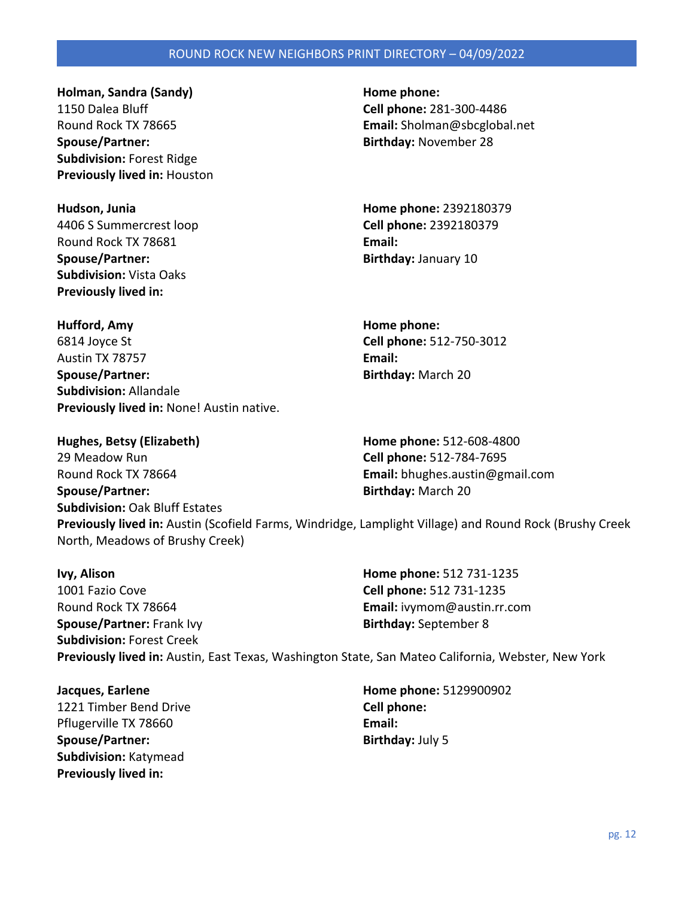**Holman, Sandra (Sandy) Home phone: Home phone:** 1150 Dalea Bluff **Cell phone:** 281-300-4486 **Spouse/Partner:** and **Birthday:** November 28 **Subdivision:** Forest Ridge **Previously lived in:** Houston

4406 S Summercrest loop **Cell phone:** 2392180379 Round Rock TX 78681 **Email: Spouse/Partner: Birthday:** January 10 **Subdivision:** Vista Oaks **Previously lived in:** 

Round Rock TX 78665 **Email:** Sholman@sbcglobal.net

**Hudson, Junia Home phone:** 2392180379

**Hufford, Amy Home phone:**  6814 Joyce St **Cell phone:** 512-750-3012 Austin TX 78757 **Email: Spouse/Partner:** Birthday: March 20 **Subdivision:** Allandale **Previously lived in:** None! Austin native.

**Hughes, Betsy (Elizabeth) Home phone:** 512-608-4800 29 Meadow Run **Cell phone:** 512-784-7695 Round Rock TX 78664 **Email:** bhughes.austin@gmail.com **Spouse/Partner: Birthday:** March 20

**Subdivision:** Oak Bluff Estates **Previously lived in:** Austin (Scofield Farms, Windridge, Lamplight Village) and Round Rock (Brushy Creek North, Meadows of Brushy Creek)

**Ivy, Alison Home phone:** 512 731-1235 1001 Fazio Cove **Cell phone:** 512 731-1235 Round Rock TX 78664 **Email:** ivymom@austin.rr.com **Spouse/Partner:** Frank Ivy **Birthday:** September 8 **Subdivision:** Forest Creek **Previously lived in:** Austin, East Texas, Washington State, San Mateo California, Webster, New York

1221 Timber Bend Drive **Cell phone:**  Pflugerville TX 78660 **Email: Spouse/Partner:** Birthday: July 5 **Subdivision:** Katymead **Previously lived in:** 

**Jacques, Earlene Home phone:** 5129900902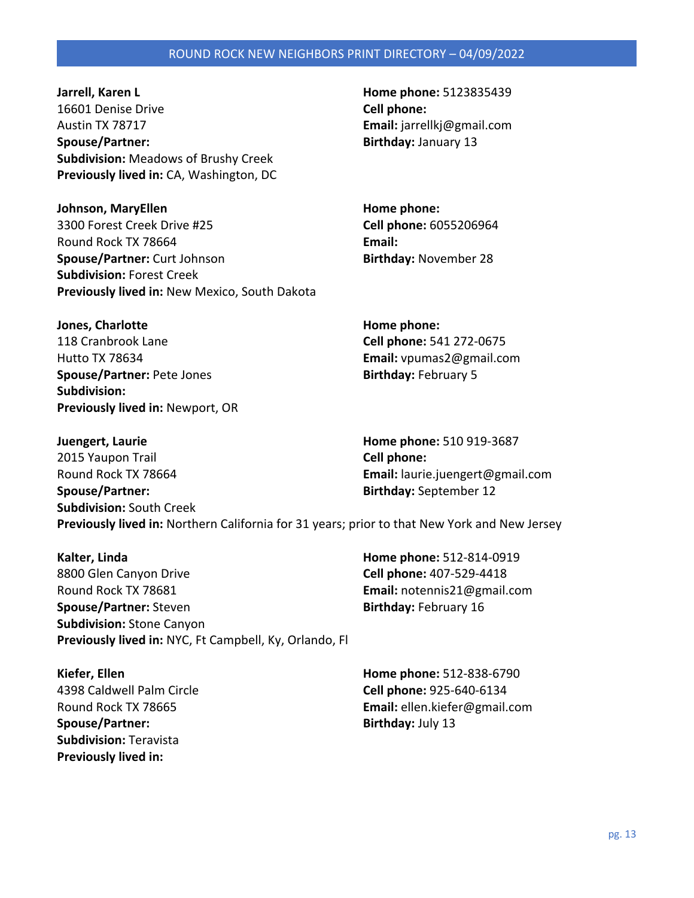**Jarrell, Karen L Home phone:** 5123835439 16601 Denise Drive **Cell phone:**  Austin TX 78717 **Email:** jarrellkj@gmail.com **Spouse/Partner: Birthday:** January 13 **Subdivision:** Meadows of Brushy Creek **Previously lived in:** CA, Washington, DC

**Johnson, MaryEllen Home phone: Home phone: Home phone:** 3300 Forest Creek Drive #25 **Cell phone:** 6055206964 Round Rock TX 78664 **Email: Spouse/Partner:** Curt Johnson **Birthday:** November 28 **Subdivision:** Forest Creek **Previously lived in:** New Mexico, South Dakota

**Jones, Charlotte Home phone: Home phone:** 118 Cranbrook Lane **Cell phone:** 541 272-0675 Hutto TX 78634 **Email:** vpumas2@gmail.com **Spouse/Partner:** Pete Jones **Birthday:** February 5 **Subdivision: Previously lived in:** Newport, OR

**Juengert, Laurie Home phone:** 510 919-3687 2015 Yaupon Trail **Cell phone:**  Round Rock TX 78664 **Email:** laurie.juengert@gmail.com **Spouse/Partner: Birthday:** September 12 **Subdivision:** South Creek **Previously lived in:** Northern California for 31 years; prior to that New York and New Jersey

**Kalter, Linda Home phone:** 512-814-0919 8800 Glen Canyon Drive **Cell phone:** 407-529-4418 Round Rock TX 78681 **Email:** notennis21@gmail.com **Spouse/Partner:** Steven **Birthday: February 16 Subdivision:** Stone Canyon **Previously lived in:** NYC, Ft Campbell, Ky, Orlando, Fl

**Spouse/Partner:** Birthday: July 13 **Subdivision:** Teravista **Previously lived in:** 

**Kiefer, Ellen Home phone:** 512-838-6790 4398 Caldwell Palm Circle **Cell phone:** 925-640-6134 Round Rock TX 78665 **Email:** ellen.kiefer@gmail.com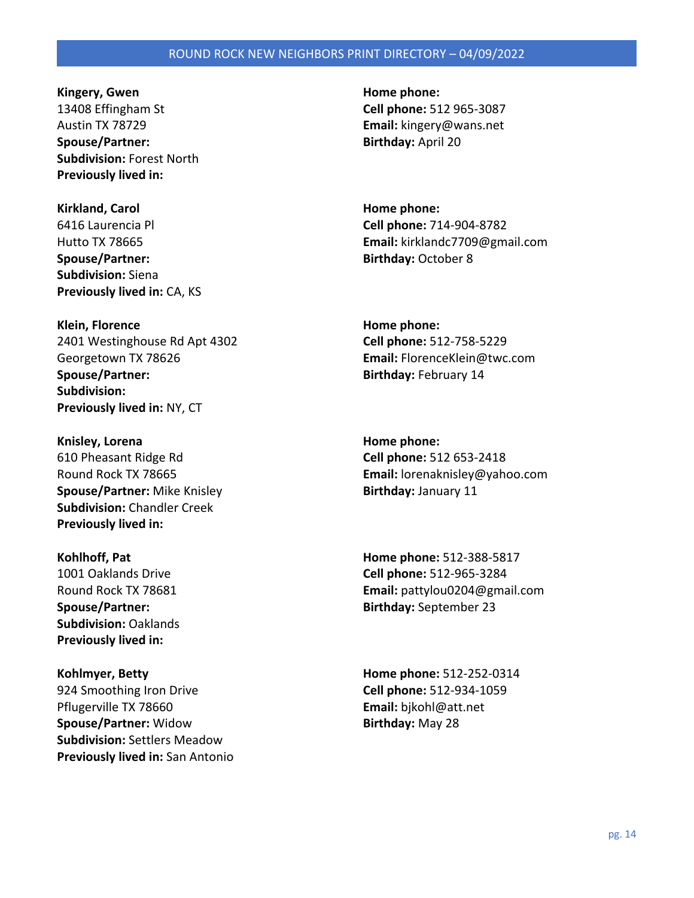**Kingery, Gwen Home phone: Home phone: Home phone: Home phone: Home phone: Home phone: Home phone: Home phone: Home phone: Home phone: Home phone: Home phone: Home phone: Home phone: Home phon** 13408 Effingham St **Cell phone:** 512 965-3087 Austin TX 78729 **Email:** kingery@wans.net **Spouse/Partner:** Birthday: April 20 **Subdivision:** Forest North **Previously lived in:** 

**Kirkland, Carol Home phone: Home phone: Home phone: Home phone: Home phone: Home phone: Home phone: Home phone: Home phone: Home phone: Home phone: Home phone: Home phone: Home phone: Home ph Spouse/Partner: Birthday:** October 8 **Subdivision:** Siena **Previously lived in:** CA, KS

**Klein, Florence Home phone: Home phone: Home phone: Home phone: Home phone: Home phone: Home phone: Home phone: Home phone: Home phone: Home phone: Home phone: Home phone: Home phone: Home ph** 2401 Westinghouse Rd Apt 4302 **Cell phone:** 512-758-5229 Georgetown TX 78626 **Email:** FlorenceKlein@twc.com **Spouse/Partner:** and the settlem and the settlem and the Birthday: February 14 **Subdivision: Previously lived in:** NY, CT

**Knisley, Lorena Home phone: Home phone: Home phone: Home phone: Home phone: Home phone: Home phone: Home phone: Home phone: Home phone: Home phone: Home phone: Home phone: Home phone: Home ph** 610 Pheasant Ridge Rd **Cell phone:** 512 653-2418 **Spouse/Partner:** Mike Knisley **Birthday:** January 11 **Subdivision:** Chandler Creek **Previously lived in:** 

**Subdivision:** Oaklands **Previously lived in:** 

924 Smoothing Iron Drive **Cell phone:** 512-934-1059 Pflugerville TX 78660 **Email:** bjkohl@att.net **Spouse/Partner:** Widow **Birthday:** May 28 **Subdivision:** Settlers Meadow **Previously lived in:** San Antonio

6416 Laurencia Pl **Cell phone:** 714-904-8782 Hutto TX 78665 **Email:** kirklandc7709@gmail.com

Round Rock TX 78665 **Email:** lorenaknisley@yahoo.com

**Kohlhoff, Pat Home phone:** 512-388-5817 1001 Oaklands Drive **Cell phone:** 512-965-3284 Round Rock TX 78681 **Email:** pattylou0204@gmail.com **Spouse/Partner: Birthday:** September 23

**Kohlmyer, Betty Home phone:** 512-252-0314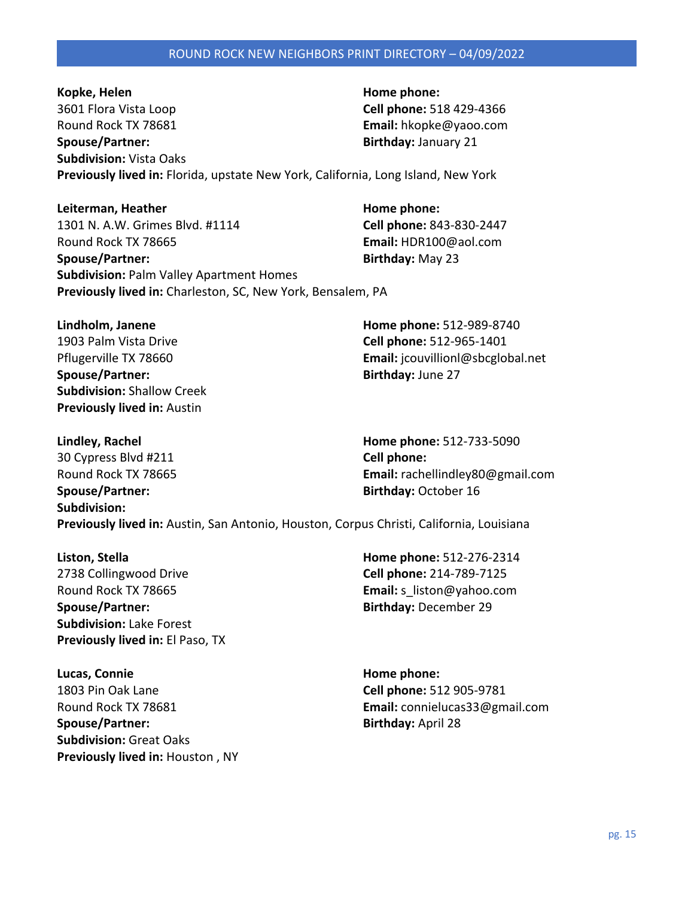**Kopke, Helen Home phone: Home phone: Home phone: Home phone: Home phone: Home phone: Home phone: Home phone: Home phone: Home phone: Home phone: Home phone: Home phone: Home phone: Home phone** 3601 Flora Vista Loop **Cell phone:** 518 429-4366 Round Rock TX 78681 **Email:** hkopke@yaoo.com **Spouse/Partner: Birthday:** January 21 **Subdivision:** Vista Oaks **Previously lived in:** Florida, upstate New York, California, Long Island, New York

Leiterman, Heather **Manual Exception Except** Home phone: 1301 N. A.W. Grimes Blvd. #1114 **Cell phone:** 843-830-2447 Round Rock TX 78665 **Email:** HDR100@aol.com **Spouse/Partner:** Birthday: May 23 **Subdivision:** Palm Valley Apartment Homes **Previously lived in:** Charleston, SC, New York, Bensalem, PA

**Lindholm, Janene Home phone:** 512-989-8740 1903 Palm Vista Drive **Cell phone:** 512-965-1401 **Spouse/Partner: Birthday:** June 27 **Subdivision:** Shallow Creek **Previously lived in:** Austin

Pflugerville TX 78660 **Email:** jcouvillionl@sbcglobal.net

**Lindley, Rachel Home phone:** 512-733-5090 30 Cypress Blvd #211 **Cell phone:**  Round Rock TX 78665 **Email:** rachellindley80@gmail.com **Spouse/Partner: Birthday:** October 16 **Subdivision: Previously lived in:** Austin, San Antonio, Houston, Corpus Christi, California, Louisiana

2738 Collingwood Drive **Cell phone:** 214-789-7125 Round Rock TX 78665 **Email:** s\_liston@yahoo.com **Spouse/Partner: Birthday:** December 29 **Subdivision:** Lake Forest **Previously lived in:** El Paso, TX

**Lucas, Connie Home phone: Home phone: Home phone: Home phone: Home phone: Home phone: Home phone: Home phone: Home phone: Home phone: Home phone: Home phone: Home phone: Home phone: Home phon** 1803 Pin Oak Lane **Cell phone:** 512 905-9781 **Spouse/Partner:** Birthday: April 28 **Subdivision:** Great Oaks **Previously lived in:** Houston , NY

**Liston, Stella Home phone:** 512-276-2314

Round Rock TX 78681 **Email:** connielucas33@gmail.com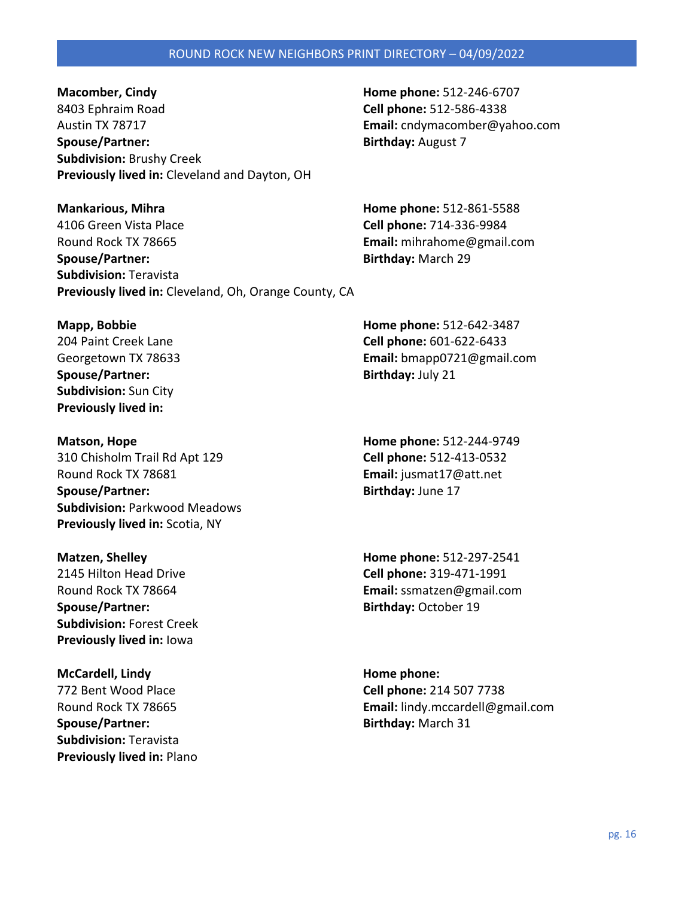8403 Ephraim Road **Cell phone:** 512-586-4338 Austin TX 78717 **Email:** cndymacomber@yahoo.com **Spouse/Partner:** Birthday: August 7 **Subdivision:** Brushy Creek **Previously lived in:** Cleveland and Dayton, OH

**Mankarious, Mihra Home phone:** 512-861-5588 4106 Green Vista Place **Cell phone:** 714-336-9984 Round Rock TX 78665 **Email:** mihrahome@gmail.com **Spouse/Partner: Birthday:** March 29 **Subdivision:** Teravista **Previously lived in:** Cleveland, Oh, Orange County, CA

**Spouse/Partner:** Birthday: July 21 **Subdivision:** Sun City **Previously lived in:** 

**Matson, Hope Home phone:** 512-244-9749 310 Chisholm Trail Rd Apt 129 **Cell phone:** 512-413-0532 Round Rock TX 78681 **Email:** jusmat17@att.net **Spouse/Partner:** Birthday: June 17 **Subdivision:** Parkwood Meadows **Previously lived in:** Scotia, NY

2145 Hilton Head Drive **Cell phone:** 319-471-1991 **Spouse/Partner:** Birthday: October 19 **Subdivision:** Forest Creek **Previously lived in:** Iowa

**McCardell, Lindy Home phone: Home phone: Home phone: Home phone: Home phone: Home phone: Home phone: Home phone: Home phone: Home phone: Home phone: Home phone: Home phone: Home phone: Home p Spouse/Partner:** Birthday: March 31 **Subdivision:** Teravista **Previously lived in:** Plano

**Macomber, Cindy Home phone:** 512-246-6707

**Mapp, Bobbie Home phone:** 512-642-3487 204 Paint Creek Lane **Cell phone:** 601-622-6433 Georgetown TX 78633 **Email:** bmapp0721@gmail.com

**Matzen, Shelley Home phone:** 512-297-2541 Round Rock TX 78664 **Email:** ssmatzen@gmail.com

772 Bent Wood Place **Cell phone:** 214 507 7738 Round Rock TX 78665 **Email:** lindy.mccardell@gmail.com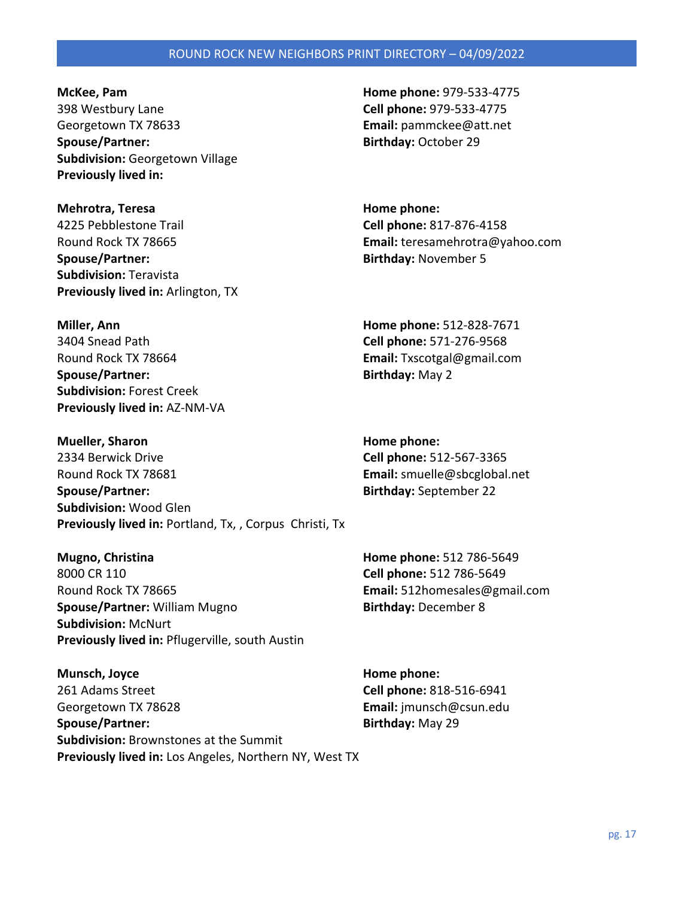**McKee, Pam Home phone:** 979-533-4775 398 Westbury Lane **Cell phone:** 979-533-4775 Georgetown TX 78633 **Email:** pammckee@att.net **Spouse/Partner: Birthday:** October 29 **Subdivision:** Georgetown Village **Previously lived in:** 

**Mehrotra, Teresa Home phone: Home phone: Home phone:** 4225 Pebblestone Trail **Cell phone:** 817-876-4158 **Spouse/Partner: Birthday:** November 5 **Subdivision:** Teravista **Previously lived in:** Arlington, TX

**Subdivision:** Forest Creek **Previously lived in:** AZ-NM-VA

Round Rock TX 78665 **Email:** teresamehrotra@yahoo.com

**Miller, Ann Home phone:** 512-828-7671 3404 Snead Path **Cell phone:** 571-276-9568 Round Rock TX 78664 **Email:** Txscotgal@gmail.com **Spouse/Partner:** Birthday: May 2

**Mueller, Sharon Home phone: Home phone: Home phone: Home phone: Home phone: Home phone: Home phone: Home phone: Home phone: Home phone: Home phone: Home phone: Home phone: Home phone: Home ph** 2334 Berwick Drive **Cell phone:** 512-567-3365 Round Rock TX 78681 **Email:** smuelle@sbcglobal.net **Spouse/Partner: Birthday:** September 22 **Subdivision:** Wood Glen **Previously lived in:** Portland, Tx, , Corpus Christi, Tx

**Mugno, Christina Home phone: 512 786-5649** 8000 CR 110 **Cell phone:** 512 786-5649 Round Rock TX 78665 **Email:** 512homesales@gmail.com **Spouse/Partner:** William Mugno **Birthday:** December 8 **Subdivision:** McNurt **Previously lived in:** Pflugerville, south Austin

**Munsch, Joyce Home phone: Home phone: Home phone: Home phone: Home phone: Home phone: Home phone: Home phone: Home phone: Home phone: Home phone: Home phone: Home phone: Home phone: Home phon** 261 Adams Street **Cell phone:** 818-516-6941 Georgetown TX 78628 **Email:** jmunsch@csun.edu **Spouse/Partner: Birthday:** May 29 **Subdivision:** Brownstones at the Summit **Previously lived in:** Los Angeles, Northern NY, West TX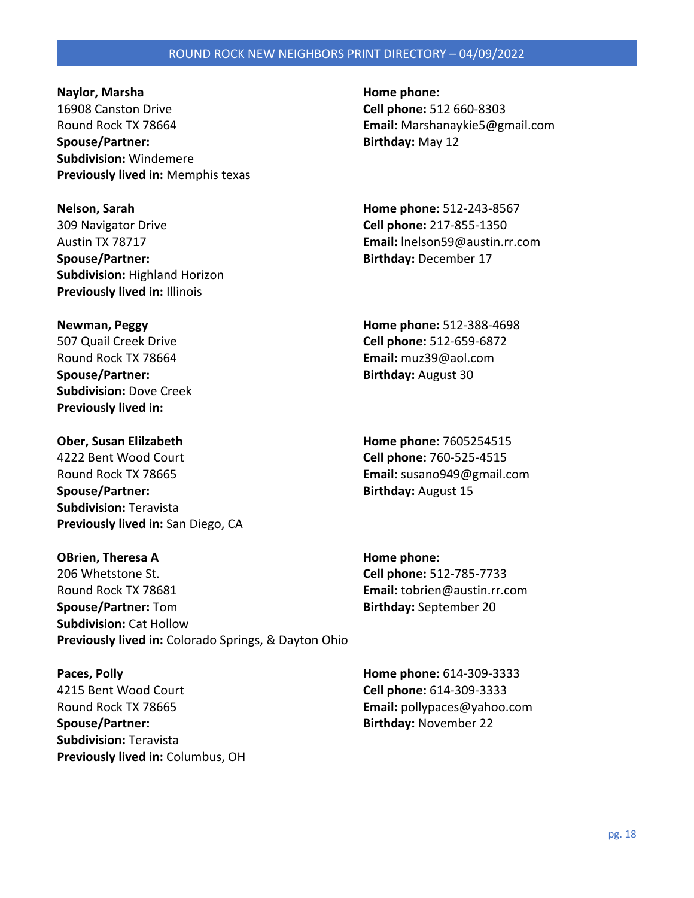**Naylor, Marsha Home phone: Home phone: Home phone: Home phone: Home phone: Home phone: Home phone: Home phone: Home phone: Home phone: Home phone: Home phone: Home phone: Home phone: Home pho** 16908 Canston Drive **Cell phone:** 512 660-8303 Round Rock TX 78664 **Email:** Marshanaykie5@gmail.com **Spouse/Partner: Birthday:** May 12 **Subdivision:** Windemere **Previously lived in:** Memphis texas

**Nelson, Sarah Home phone:** 512-243-8567 309 Navigator Drive **Cell phone:** 217-855-1350 **Spouse/Partner: Birthday:** December 17 **Subdivision:** Highland Horizon **Previously lived in:** Illinois

Round Rock TX 78664 **Email:** muz39@aol.com **Spouse/Partner: Birthday:** August 30 **Subdivision:** Dove Creek **Previously lived in:** 

**Ober, Susan Elilzabeth Home phone:** 7605254515 4222 Bent Wood Court **Cell phone:** 760-525-4515 Round Rock TX 78665 **Email:** susano949@gmail.com **Spouse/Partner: Birthday:** August 15 **Subdivision:** Teravista **Previously lived in:** San Diego, CA

**OBrien, Theresa A Home phone: Home phone:** 206 Whetstone St. **Cell phone:** 512-785-7733 Round Rock TX 78681 **Email:** tobrien@austin.rr.com **Spouse/Partner:** Tom **Birthday:** September 20 **Subdivision:** Cat Hollow **Previously lived in:** Colorado Springs, & Dayton Ohio

**Paces, Polly Home phone:** 614-309-3333 4215 Bent Wood Court **Cell phone:** 614-309-3333 Round Rock TX 78665 **Email:** pollypaces@yahoo.com **Spouse/Partner: Birthday:** November 22 **Subdivision:** Teravista **Previously lived in:** Columbus, OH

Austin TX 78717 **Email:** lnelson59@austin.rr.com

**Newman, Peggy Home phone:** 512-388-4698 507 Quail Creek Drive **Cell phone:** 512-659-6872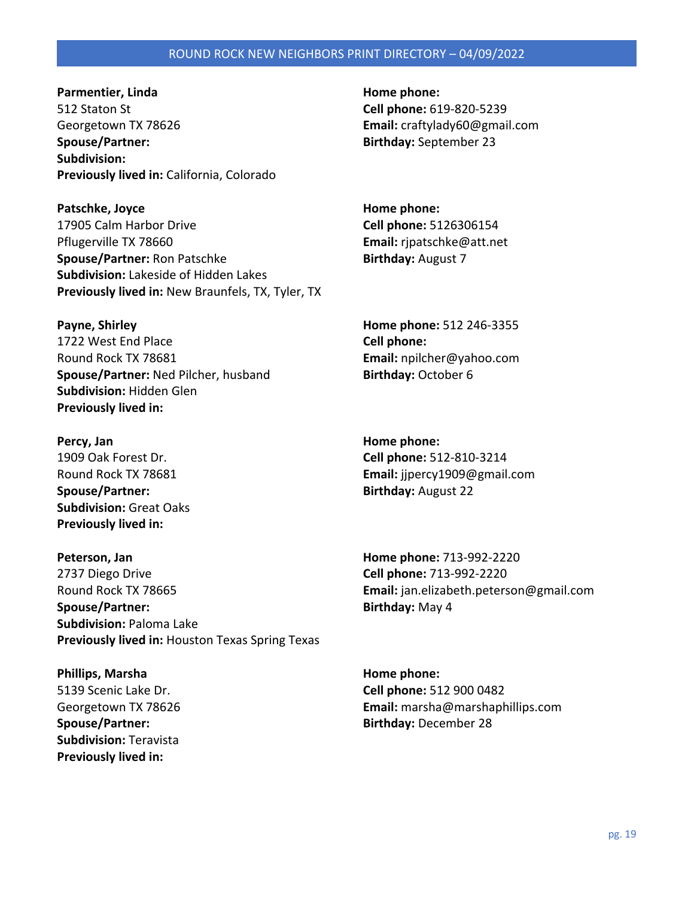**Parmentier, Linda Home phone: Home phone:** 512 Staton St **Cell phone:** 619-820-5239 Georgetown TX 78626 **Email:** craftylady60@gmail.com **Spouse/Partner: Birthday:** September 23 **Subdivision: Previously lived in:** California, Colorado

Patschke, Joyce **Home phone: Home phone: Home phone:** 17905 Calm Harbor Drive **Cell phone:** 5126306154 Pflugerville TX 78660 **Email:** rjpatschke@att.net **Spouse/Partner:** Ron Patschke **Birthday:** August 7 **Subdivision:** Lakeside of Hidden Lakes **Previously lived in:** New Braunfels, TX, Tyler, TX

**Payne, Shirley Home phone:** 512 246-3355 1722 West End Place **Cell phone:**  Round Rock TX 78681 **Email:** npilcher@yahoo.com **Spouse/Partner:** Ned Pilcher, husband **Birthday:** October 6 **Subdivision:** Hidden Glen **Previously lived in:** 

**Percy, Jan Home phone: Home phone: Home phone: Spouse/Partner:** Birthday: August 22 **Subdivision:** Great Oaks **Previously lived in:** 

**Peterson, Jan Home phone:** 713-992-2220 2737 Diego Drive **Cell phone:** 713-992-2220 Round Rock TX 78665 **Email:** jan.elizabeth.peterson@gmail.com **Spouse/Partner:** Birthday: May 4 **Subdivision:** Paloma Lake **Previously lived in:** Houston Texas Spring Texas

**Phillips, Marsha Home phone: Home phone: Home phone: Home phone: Home phone: Home phone: Home phone: Home phone: Home phone: Home phone: Home phone: Home phone: Home phone: Home phone: Home p Subdivision:** Teravista **Previously lived in:** 

1909 Oak Forest Dr. **Cell phone:** 512-810-3214 Round Rock TX 78681 **Email:** jjpercy1909@gmail.com

5139 Scenic Lake Dr. **Cell phone:** 512 900 0482 Georgetown TX 78626 **Email:** marsha@marshaphillips.com **Spouse/Partner: Birthday:** December 28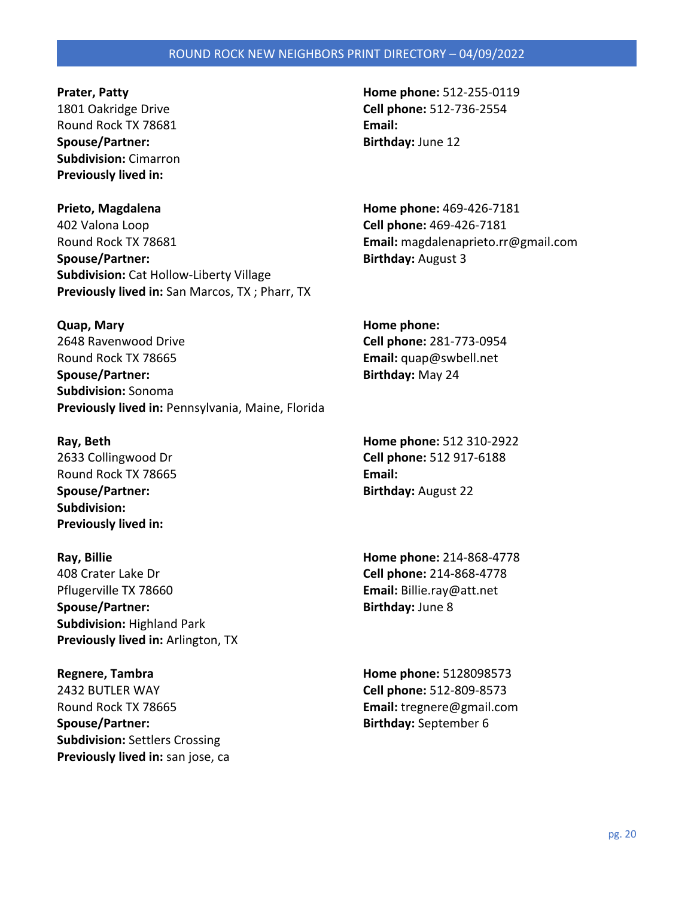Round Rock TX 78681 **Email: Spouse/Partner: Birthday:** June 12 **Subdivision:** Cimarron **Previously lived in:** 

**Prieto, Magdalena Home phone:** 469-426-7181 402 Valona Loop **Cell phone:** 469-426-7181 Round Rock TX 78681 **Email:** magdalenaprieto.rr@gmail.com **Spouse/Partner:** Birthday: August 3 **Subdivision:** Cat Hollow-Liberty Village **Previously lived in:** San Marcos, TX ; Pharr, TX

**Quap, Mary Home phone:**  2648 Ravenwood Drive **Cell phone:** 281-773-0954 Round Rock TX 78665 **Email:** quap@swbell.net **Spouse/Partner: Birthday:** May 24 **Subdivision:** Sonoma **Previously lived in:** Pennsylvania, Maine, Florida

Round Rock TX 78665 **Email: Email: Spouse/Partner:** Birthday: August 22 **Subdivision: Previously lived in:** 

**Ray, Billie Home phone:** 214-868-4778 408 Crater Lake Dr **Cell phone:** 214-868-4778 Pflugerville TX 78660 **Email:** Billie.ray@att.net **Spouse/Partner:** Birthday: June 8 **Subdivision:** Highland Park **Previously lived in:** Arlington, TX

**Regnere, Tambra Home phone:** 5128098573 2432 BUTLER WAY **Cell phone:** 512-809-8573 Round Rock TX 78665 **Email:** tregnere@gmail.com **Spouse/Partner: Birthday:** September 6 **Subdivision:** Settlers Crossing **Previously lived in:** san jose, ca

**Prater, Patty Home phone:** 512-255-0119 1801 Oakridge Drive **Cell phone:** 512-736-2554

**Ray, Beth Home phone:** 512 310-2922 2633 Collingwood Dr **Cell phone:** 512 917-6188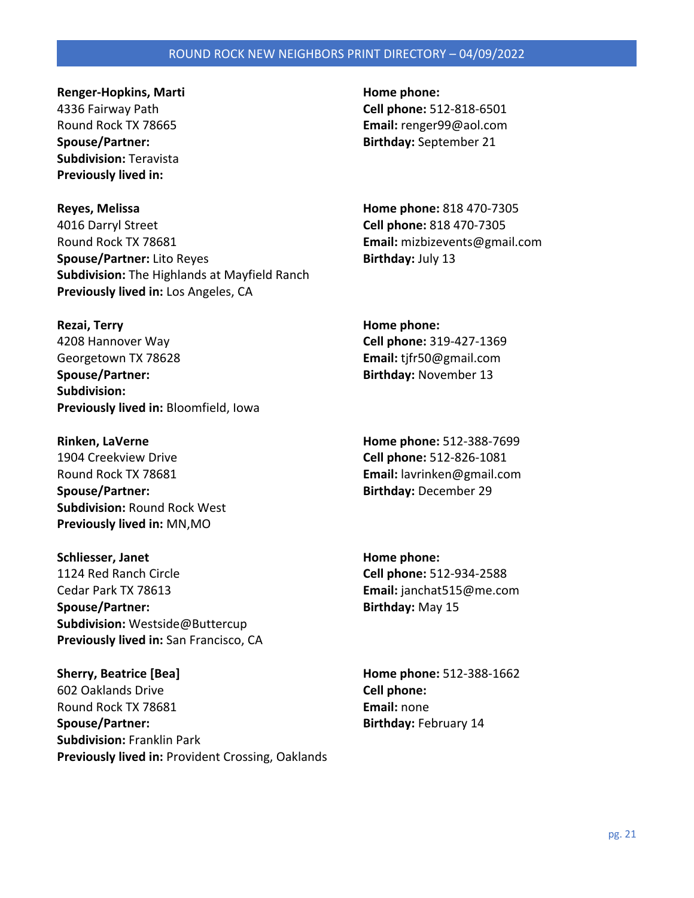**Renger-Hopkins, Marti Home phone: Home phone: Home phone: Home phone: Home phone: Home phone: Home phone: Home phone: Home phone: Home phone: Home phone: Home phone: Home phone: Home phone: H Subdivision:** Teravista **Previously lived in:** 

**Reyes, Melissa Home phone:** 818 470-7305 4016 Darryl Street **Cell phone:** 818 470-7305 Round Rock TX 78681 **Email:** mizbizevents@gmail.com **Spouse/Partner:** Lito Reyes **Birthday:** July 13 **Subdivision:** The Highlands at Mayfield Ranch **Previously lived in:** Los Angeles, CA

**Rezai, Terry Home phone: Home phone: Home phone: Home phone: Home phone: Home phone: Home phone: Home phone: Home phone: Home phone: Home phone: Home phone: Home phone: Home phone: Home phone** 4208 Hannover Way **Cell phone:** 319-427-1369 Georgetown TX 78628 **Email:** tjfr50@gmail.com **Spouse/Partner:** and **Birthday:** November 13 **Subdivision: Previously lived in:** Bloomfield, Iowa

1904 Creekview Drive **Cell phone:** 512-826-1081 Round Rock TX 78681 **Email:** lavrinken@gmail.com **Spouse/Partner: Birthday:** December 29 **Subdivision:** Round Rock West **Previously lived in:** MN,MO

**Schliesser, Janet Home phone: Home phone: Home phone: Home phone: Home phone: Home phone: Home phone: Home phone: Home phone: Home phone: Home phone: Home phone: Home phone: Home phone: Home** 1124 Red Ranch Circle **Cell phone:** 512-934-2588 Cedar Park TX 78613 **Email:** janchat515@me.com **Spouse/Partner:** and a spouse/Partner: a spouse/Partner: a spouse of  $\mathbf{B}$ irthday: May 15 **Subdivision:** Westside@Buttercup **Previously lived in:** San Francisco, CA

**Sherry, Beatrice [Bea] Home phone:** 512-388-1662 602 Oaklands Drive **Cell phone:**  Round Rock TX 78681 **Email:** none **Spouse/Partner:** Spouse/Partner: **Birthday:** February 14 **Subdivision:** Franklin Park **Previously lived in:** Provident Crossing, Oaklands

4336 Fairway Path **Cell phone:** 512-818-6501 Round Rock TX 78665 **Email:** renger99@aol.com **Spouse/Partner: Birthday:** September 21

**Rinken, LaVerne Home phone:** 512-388-7699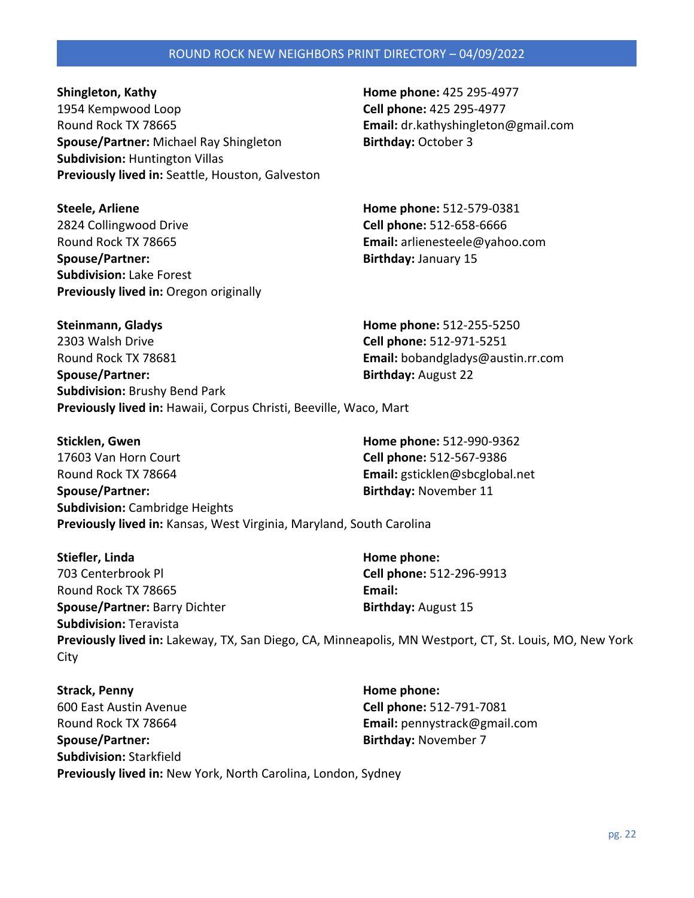pg. 22

# ROUND ROCK NEW NEIGHBORS PRINT DIRECTORY – 04/09/2022

**Shingleton, Kathy Home phone: 425 295-4977** 1954 Kempwood Loop **Cell phone:** 425 295-4977 Round Rock TX 78665 **Email:** dr.kathyshingleton@gmail.com **Spouse/Partner:** Michael Ray Shingleton **Birthday:** October 3 **Subdivision:** Huntington Villas **Previously lived in:** Seattle, Houston, Galveston

**Steele, Arliene Home phone:** 512-579-0381 2824 Collingwood Drive **Cell phone:** 512-658-6666 Round Rock TX 78665 **Email:** arlienesteele@yahoo.com **Spouse/Partner: Birthday:** January 15 **Subdivision:** Lake Forest **Previously lived in:** Oregon originally

**Steinmann, Gladys Home phone:** 512-255-5250 2303 Walsh Drive **Cell phone:** 512-971-5251 Round Rock TX 78681 **Email:** bobandgladys@austin.rr.com **Spouse/Partner:** Birthday: August 22 **Subdivision:** Brushy Bend Park **Previously lived in:** Hawaii, Corpus Christi, Beeville, Waco, Mart

**Sticklen, Gwen Home phone:** 512-990-9362 17603 Van Horn Court **Cell phone:** 512-567-9386 Round Rock TX 78664 **Email:** gsticklen@sbcglobal.net **Spouse/Partner:** and **Birthday:** November 11 **Subdivision:** Cambridge Heights **Previously lived in:** Kansas, West Virginia, Maryland, South Carolina

**Stiefler, Linda Home phone: Home phone: Home phone: Home phone: Home phone: Home phone: Home phone: Home phone: Home phone: Home phone: Home phone: Home phone: Home phone: Home phone: Home ph** 703 Centerbrook Pl **Cell phone:** 512-296-9913 Round Rock TX 78665 **Email: Spouse/Partner: Barry Dichter <b>Birthday:** August 15 **Subdivision:** Teravista **Previously lived in:** Lakeway, TX, San Diego, CA, Minneapolis, MN Westport, CT, St. Louis, MO, New York City

**Strack, Penny Home phone: Home phone: Home phone: Home phone: Home phone: Home phone: Home phone: Home phone: Home phone: Home phone: Home phone: Home phone: Home phone: Home phone: Home phon** 600 East Austin Avenue **Cell phone:** 512-791-7081 Round Rock TX 78664 **Email:** pennystrack@gmail.com **Spouse/Partner: Birthday:** November 7 **Subdivision:** Starkfield **Previously lived in:** New York, North Carolina, London, Sydney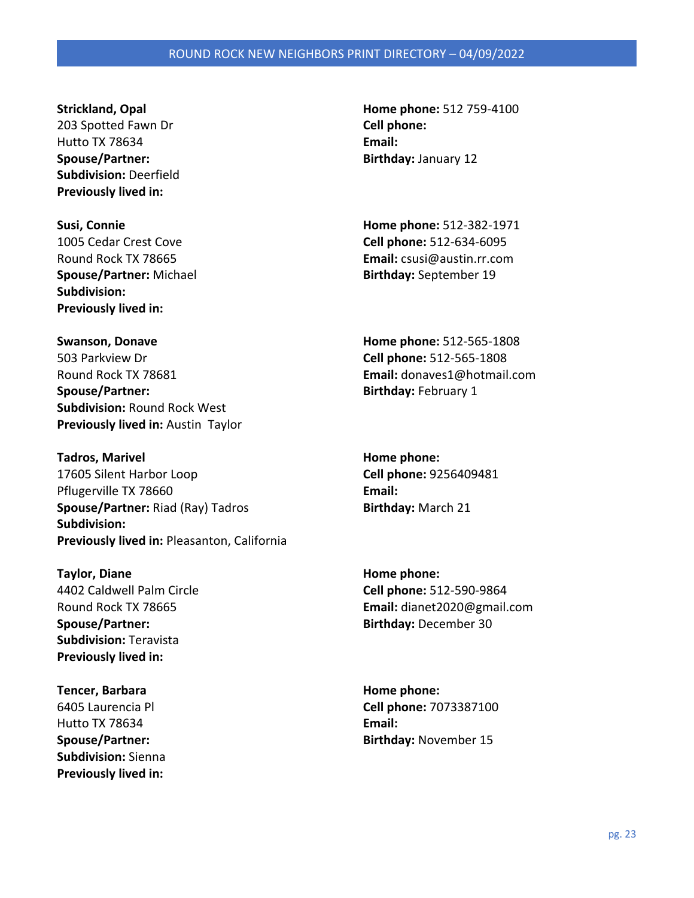203 Spotted Fawn Dr **Cell phone:**  Hutto TX 78634 **Email: Spouse/Partner: Birthday:** January 12 **Subdivision:** Deerfield **Previously lived in:** 

**Spouse/Partner:** Michael **Birthday:** September 19 **Subdivision: Previously lived in:** 

**Swanson, Donave Home phone:** 512-565-1808 503 Parkview Dr **Cell phone:** 512-565-1808 Round Rock TX 78681 **Email:** donaves1@hotmail.com **Spouse/Partner:** Birthday: February 1 **Subdivision:** Round Rock West **Previously lived in:** Austin Taylor

**Tadros, Marivel Home phone: Home phone: Home phone: Home phone: Home phone: Home phone: Home phone: Home phone: Home phone: Home phone: Home phone: Home phone: Home phone: Home phone: Home p** 17605 Silent Harbor Loop **Cell phone:** 9256409481 Pflugerville TX 78660 **Email: Spouse/Partner: Riad (Ray) Tadros <b>Birthday:** March 21 **Subdivision: Previously lived in:** Pleasanton, California

**Taylor, Diane Home phone: Home phone: Home phone: Home phone: Home phone: Home phone: Home phone: Home phone: Home phone: Home phone: Home phone: Home phone: Home phone: Home phone: Home phon Spouse/Partner: Birthday:** December 30 **Subdivision:** Teravista **Previously lived in:** 

**Tencer, Barbara Home phone: Home phone:** Hutto TX 78634 **Email: Subdivision:** Sienna **Previously lived in:** 

**Strickland, Opal Home phone:** 512 759-4100

**Susi, Connie Home phone:** 512-382-1971 1005 Cedar Crest Cove **Cell phone:** 512-634-6095 Round Rock TX 78665 **Email:** csusi@austin.rr.com

4402 Caldwell Palm Circle **Cell phone:** 512-590-9864 Round Rock TX 78665 **Email:** dianet2020@gmail.com

6405 Laurencia Pl **Cell phone:** 7073387100 **Spouse/Partner: Birthday:** November 15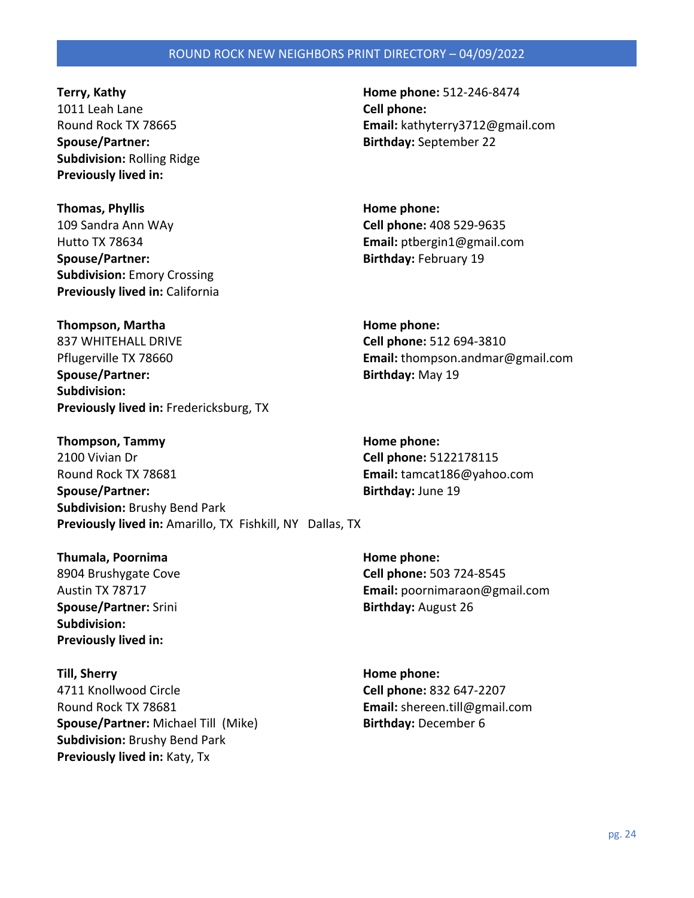**Terry, Kathy Home phone:** 512-246-8474 1011 Leah Lane **Cell phone: Spouse/Partner: Birthday:** September 22 **Subdivision:** Rolling Ridge **Previously lived in:** 

**Thomas, Phyllis Home phone: Home phone: Home phone: Home phone: Home phone: Home phone: Home phone: Home phone: Home phone: Home phone: Home phone: Home phone: Home phone: Home phone: Home ph** 109 Sandra Ann WAy **Cell phone:** 408 529-9635 Hutto TX 78634 **Email:** ptbergin1@gmail.com **Spouse/Partner:** Spouse/Partner: **Birthday:** February 19 **Subdivision:** Emory Crossing **Previously lived in:** California

**Thompson, Martha Home phone: Home phone: Home phone:** 837 WHITEHALL DRIVE **Cell phone:** 512 694-3810 Pflugerville TX 78660 **Email:** thompson.andmar@gmail.com **Spouse/Partner:** Birthday: May 19 **Subdivision: Previously lived in:** Fredericksburg, TX

**Thompson, Tammy Home phone: Home phone: Home phone: Home phone: Home phone: Home phone: Home phone: Home phone: Home phone: Home phone: Home phone: Home phone: Home phone: Home phone: Home ph** 2100 Vivian Dr **Cell phone:** 5122178115 Round Rock TX 78681 **Email:** tamcat186@yahoo.com **Spouse/Partner:** Birthday: June 19 **Subdivision:** Brushy Bend Park **Previously lived in:** Amarillo, TX Fishkill, NY Dallas, TX

**Thumala, Poornima Home phone: Home phone: Home phone: Home phone: Home phone: Home phone: Home phone: Home phone: Home phone: Home phone: Home phone: Home phone: Home phone: Home phone: Home Spouse/Partner:** Srini **Birthday:** August 26 **Subdivision: Previously lived in:** 

**Till, Sherry Home phone:**  4711 Knollwood Circle **Cell phone:** 832 647-2207 Round Rock TX 78681 **Email:** shereen.till@gmail.com **Spouse/Partner:** Michael Till (Mike) **Birthday:** December 6 **Subdivision:** Brushy Bend Park **Previously lived in:** Katy, Tx

Round Rock TX 78665 **Email:** kathyterry3712@gmail.com

8904 Brushygate Cove **Cell phone:** 503 724-8545 Austin TX 78717 **Email:** poornimaraon@gmail.com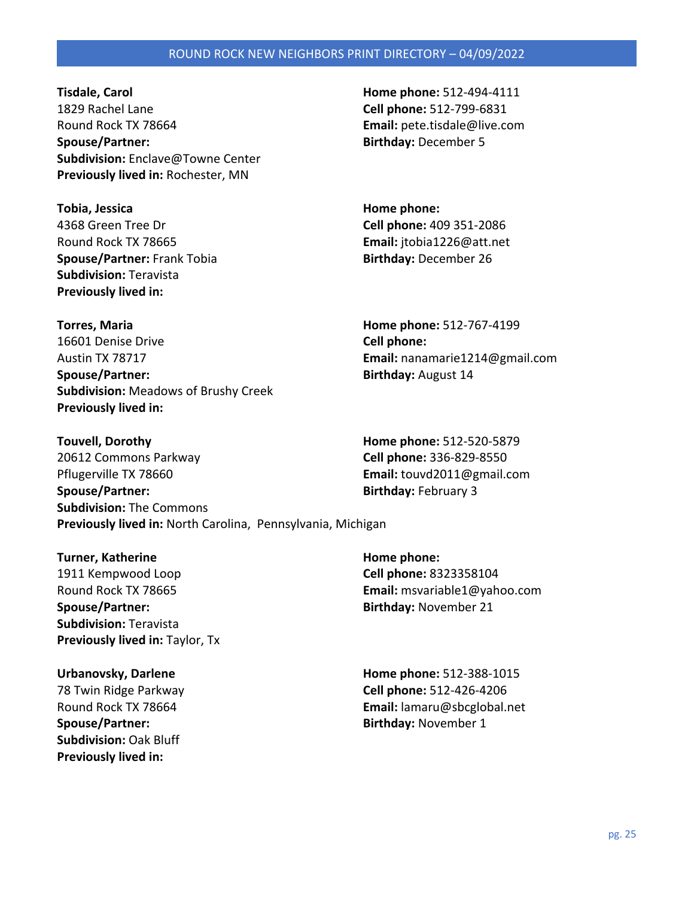**Tisdale, Carol Home phone:** 512-494-4111 1829 Rachel Lane **Cell phone:** 512-799-6831 Round Rock TX 78664 **Email:** pete.tisdale@live.com **Spouse/Partner: Birthday:** December 5 **Subdivision:** Enclave@Towne Center **Previously lived in:** Rochester, MN

**Tobia, Jessica Home phone: Home phone: Home phone: Home phone: Home phone: Home phone: Home phone: Home phone: Home phone: Home phone: Home phone: Home phone: Home phone: Home phone: Home pho** 4368 Green Tree Dr **Cell phone:** 409 351-2086 Round Rock TX 78665 **Email:** jtobia1226@att.net **Spouse/Partner:** Frank Tobia **Birthday:** December 26 **Subdivision:** Teravista **Previously lived in:** 

**Torres, Maria Home phone:** 512-767-4199 16601 Denise Drive **Cell phone:**  Austin TX 78717 **Email:** nanamarie1214@gmail.com **Spouse/Partner: Birthday:** August 14 **Subdivision:** Meadows of Brushy Creek **Previously lived in:** 

**Touvell, Dorothy Home phone:** 512-520-5879 20612 Commons Parkway **Cell phone:** 336-829-8550 Pflugerville TX 78660 **Email:** touvd2011@gmail.com **Spouse/Partner:** Spouse/Partner: **Birthday:** February 3 **Subdivision:** The Commons **Previously lived in:** North Carolina, Pennsylvania, Michigan

**Turner, Katherine Home phone: Home phone: Home phone: Home phone: Home phone: Home phone: Home phone: Home phone: Home phone: Home phone: Home phone: Home phone: Home phone: Home phone: Home** 1911 Kempwood Loop **Cell phone:** 8323358104 **Spouse/Partner:** and **Birthday:** November 21 **Subdivision:** Teravista **Previously lived in: Taylor, Tx** 

**Spouse/Partner:** Spouse/Partner: **Birthday:** November 1 **Subdivision:** Oak Bluff **Previously lived in:** 

Round Rock TX 78665 **Email:** msvariable1@yahoo.com

**Urbanovsky, Darlene Home phone:** 512-388-1015 78 Twin Ridge Parkway **Cell phone:** 512-426-4206 Round Rock TX 78664 **Email:** lamaru@sbcglobal.net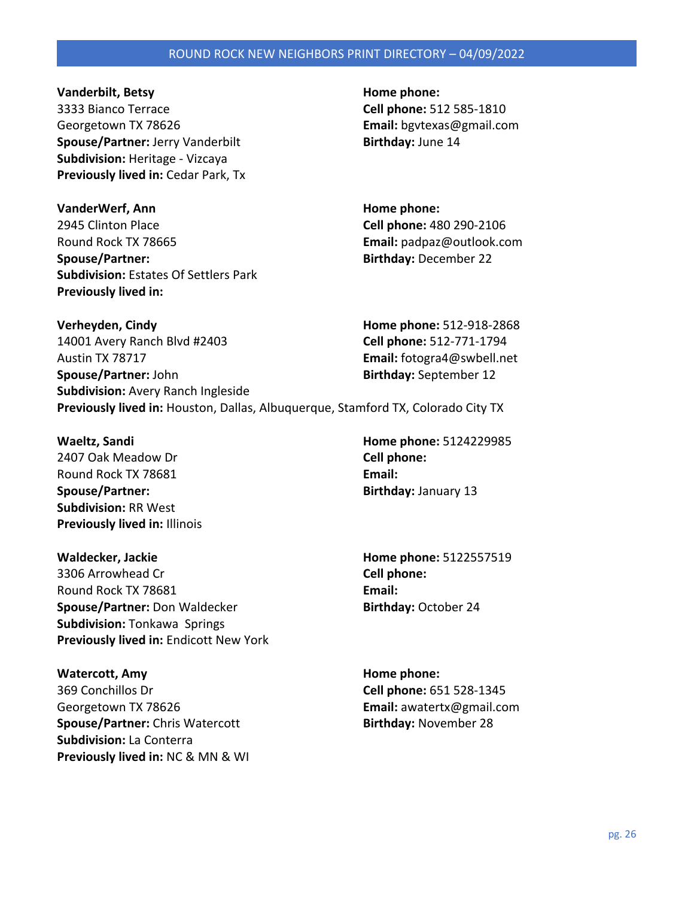**Vanderbilt, Betsy Home phone: Home phone: Home phone: Home phone: Home phone: Home phone: Home phone: Home phone: Home phone: Home phone: Home phone: Home phone: Home phone: Home phone: Home** 

3333 Bianco Terrace **Cell phone:** 512 585-1810 Georgetown TX 78626 **Email:** bgvtexas@gmail.com **Spouse/Partner:** Jerry Vanderbilt **Birthday:** June 14 **Subdivision:** Heritage - Vizcaya **Previously lived in:** Cedar Park, Tx

**VanderWerf, Ann Home phone: Home phone: Home phone:** 2945 Clinton Place **Cell phone:** 480 290-2106 Round Rock TX 78665 **Email:** padpaz@outlook.com **Spouse/Partner: Birthday:** December 22 **Subdivision:** Estates Of Settlers Park **Previously lived in:** 

**Verheyden, Cindy Home phone:** 512-918-2868 14001 Avery Ranch Blvd #2403 **Cell phone:** 512-771-1794 Austin TX 78717 **Email:** fotogra4@swbell.net **Spouse/Partner:** John **Birthday:** September 12 **Subdivision:** Avery Ranch Ingleside **Previously lived in:** Houston, Dallas, Albuquerque, Stamford TX, Colorado City TX

2407 Oak Meadow Dr **Cell phone:**  Round Rock TX 78681 **Email: Email: Spouse/Partner: Birthday:** January 13 **Subdivision:** RR West **Previously lived in:** Illinois

**Waldecker, Jackie Home phone:** 5122557519 3306 Arrowhead Cr **Cell phone:**  Round Rock TX 78681 **Email: Spouse/Partner:** Don Waldecker **Birthday:** October 24 **Subdivision:** Tonkawa Springs **Previously lived in:** Endicott New York

**Watercott, Amy Home phone: Home phone: Home phone: Home phone: Home phone: Home phone: Home phone: Home phone: Home phone: Home phone: Home phone: Home phone: Home phone: Home phone: Home ph** 369 Conchillos Dr **Cell phone:** 651 528-1345 Georgetown TX 78626 **Email:** awatertx@gmail.com **Spouse/Partner:** Chris Watercott **Birthday:** November 28 **Subdivision:** La Conterra **Previously lived in:** NC & MN & WI

**Waeltz, Sandi Home phone:** 5124229985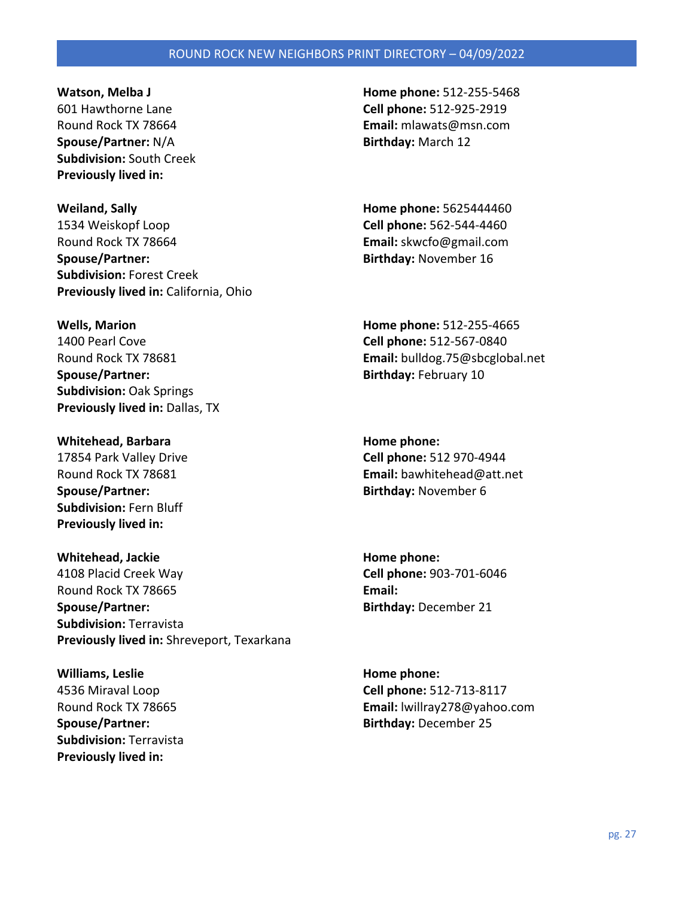**Spouse/Partner:** N/A **Birthday:** March 12 **Subdivision:** South Creek **Previously lived in:** 

**Weiland, Sally Home phone:** 5625444460 1534 Weiskopf Loop **Cell phone:** 562-544-4460 Round Rock TX 78664 **Email:** skwcfo@gmail.com **Spouse/Partner: Birthday:** November 16 **Subdivision:** Forest Creek **Previously lived in:** California, Ohio

**Wells, Marion Home phone:** 512-255-4665 1400 Pearl Cove **Cell phone:** 512-567-0840 **Spouse/Partner: Birthday:** February 10 **Subdivision:** Oak Springs **Previously lived in: Dallas, TX** 

**Whitehead, Barbara Home phone: Home phone: Home phone: Home phone: Home phone: Home phone: Home phone: Home phone: Home phone: Home phone: Home phone: Home phone: Home phone: Home phone: Home Spouse/Partner: Birthday:** November 6 **Subdivision:** Fern Bluff **Previously lived in:** 

**Whitehead, Jackie Home phone: Home phone: Home phone: Home phone: Home phone: Home phone: Home phone: Home phone: Home phone: Home phone: Home phone: Home phone: Home phone: Home phone: Home** 4108 Placid Creek Way **Cell phone:** 903-701-6046 Round Rock TX 78665 **Email: Spouse/Partner:** and **Birthday:** December 21 **Subdivision:** Terravista **Previously lived in:** Shreveport, Texarkana

**Williams, Leslie Home phone: Home phone: Home phone: Home phone: Home phone: Home phone: Home phone: Home phone: Home phone: Home phone: Home phone: Home phone: Home phone: Home phone: Home p Subdivision:** Terravista **Previously lived in:** 

**Watson, Melba J Home phone:** 512-255-5468 601 Hawthorne Lane **Cell phone:** 512-925-2919 Round Rock TX 78664 **Email:** mlawats@msn.com

Round Rock TX 78681 **Email:** bulldog.75@sbcglobal.net

17854 Park Valley Drive **Cell phone:** 512 970-4944 Round Rock TX 78681 **Email:** bawhitehead@att.net

4536 Miraval Loop **Cell phone:** 512-713-8117 Round Rock TX 78665 **Email:** lwillray278@yahoo.com **Spouse/Partner: Birthday:** December 25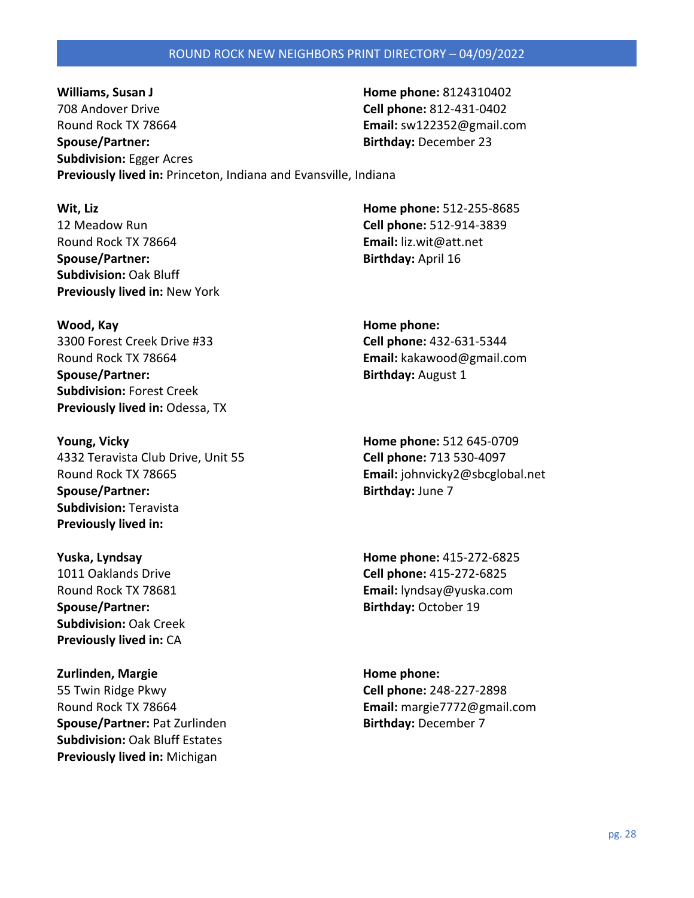**Williams, Susan J Home phone:** 8124310402 708 Andover Drive **Cell phone:** 812-431-0402 Round Rock TX 78664 **Email:** sw122352@gmail.com **Spouse/Partner: Birthday:** December 23 **Subdivision:** Egger Acres **Previously lived in:** Princeton, Indiana and Evansville, Indiana

**Wit, Liz Home phone:** 512-255-8685 12 Meadow Run **Cell phone:** 512-914-3839 Round Rock TX 78664 **Email:** liz.wit@att.net **Spouse/Partner:** Birthday: April 16 **Subdivision:** Oak Bluff **Previously lived in:** New York

**Wood, Kay Wood, Kay Home phone: Home phone: Home phone: Home phone: Home phone: Home phone: Home phone: Home phone: Home phone: Home phone: Home phone: Home phone: Home phone: Home phone: H** 3300 Forest Creek Drive #33 **Cell phone:** 432-631-5344 Round Rock TX 78664 **Email:** kakawood@gmail.com **Spouse/Partner:** Birthday: August 1 **Subdivision:** Forest Creek **Previously lived in:** Odessa, TX

**Young, Vicky Home phone:** 512 645-0709 4332 Teravista Club Drive, Unit 55 **Cell phone:** 713 530-4097 Round Rock TX 78665 **Email:** johnvicky2@sbcglobal.net **Spouse/Partner:** Birthday: June 7 **Subdivision:** Teravista **Previously lived in:** 

**Spouse/Partner:** Birthday: October 19 **Subdivision:** Oak Creek **Previously lived in:** CA

**Zurlinden, Margie Home phone: Home phone: Home phone: Home phone: Home phone: Home phone: Home phone: Home phone: Home phone: Home phone: Home phone: Home phone: Home phone: Home phone: Home** 55 Twin Ridge Pkwy **Cell phone:** 248-227-2898 Round Rock TX 78664 **Email:** margie7772@gmail.com **Spouse/Partner: Pat Zurlinden <b>Birthday:** December 7 **Subdivision:** Oak Bluff Estates **Previously lived in:** Michigan

**Yuska, Lyndsay Home phone:** 415-272-6825 1011 Oaklands Drive **Cell phone:** 415-272-6825 Round Rock TX 78681 **Email:** lyndsay@yuska.com